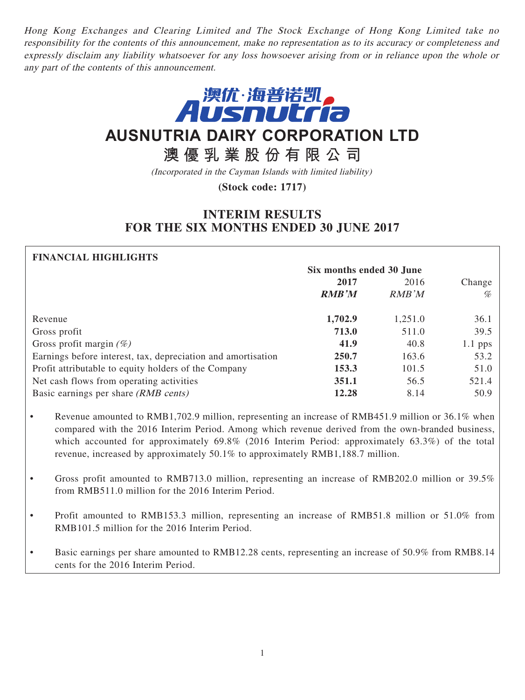Hong Kong Exchanges and Clearing Limited and The Stock Exchange of Hong Kong Limited take no responsibility for the contents of this announcement, make no representation as to its accuracy or completeness and expressly disclaim any liability whatsoever for any loss howsoever arising from or in reliance upon the whole or any part of the contents of this announcement.



# **AUSNUTRIA DAIRY CORPORATION LTD**

**澳優乳業股份有限公司**

(Incorporated in the Cayman Islands with limited liability)

**(Stock code: 1717)**

## **INTERIM RESULTS FOR THE SIX MONTHS ENDED 30 JUNE 2017**

## **FINANCIAL HIGHLIGHTS Six months ended 30 June 2017** 2016 Change **RMB'M** RMB'M % Revenue **1,702.9** 1,251.0 36.1 Gross profit **713.0** 511.0 39.5 Gross profit margin (%) **41.9** 40.8 1.1 pps Earnings before interest, tax, depreciation and amortisation **250.7** 163.6 53.2 Profit attributable to equity holders of the Company **153.3** 101.5 51.0 Net cash flows from operating activities **351.1** 56.5 521.4 Basic earnings per share (*RMB cents*) **12.28** 8.14 50.9

- Revenue amounted to RMB1,702.9 million, representing an increase of RMB451.9 million or 36.1% when compared with the 2016 Interim Period. Among which revenue derived from the own-branded business, which accounted for approximately 69.8% (2016 Interim Period: approximately 63.3%) of the total revenue, increased by approximately 50.1% to approximately RMB1,188.7 million.
- Gross profit amounted to RMB713.0 million, representing an increase of RMB202.0 million or 39.5% from RMB511.0 million for the 2016 Interim Period.
- Profit amounted to RMB153.3 million, representing an increase of RMB51.8 million or 51.0% from RMB101.5 million for the 2016 Interim Period.
- Basic earnings per share amounted to RMB12.28 cents, representing an increase of 50.9% from RMB8.14 cents for the 2016 Interim Period.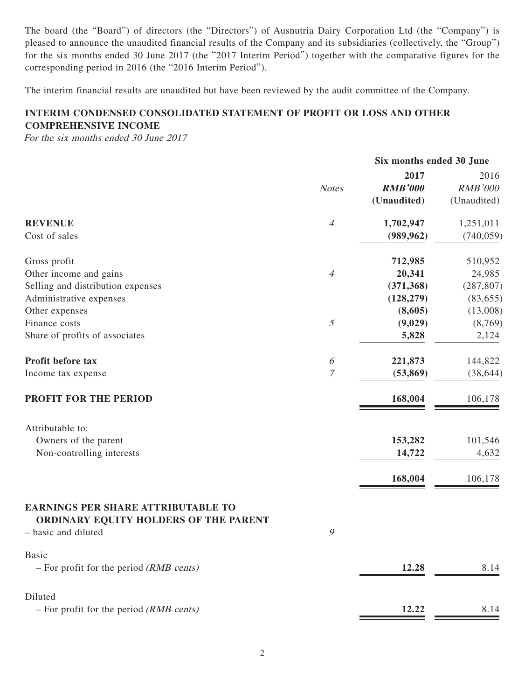The board (the "Board") of directors (the "Directors") of Ausnutria Dairy Corporation Ltd (the "Company") is pleased to announce the unaudited financial results of the Company and its subsidiaries (collectively, the "Group") for the six months ended 30 June 2017 (the "2017 Interim Period") together with the comparative figures for the corresponding period in 2016 (the "2016 Interim Period").

The interim financial results are unaudited but have been reviewed by the audit committee of the Company.

## **INTERIM CONDENSED CONSOLIDATED STATEMENT OF PROFIT OR LOSS AND OTHER COMPREHENSIVE INCOME**

For the six months ended 30 June 2017

|                                                                                                           |                       | Six months ended 30 June |                |
|-----------------------------------------------------------------------------------------------------------|-----------------------|--------------------------|----------------|
|                                                                                                           |                       | 2017                     | 2016           |
|                                                                                                           | <b>Notes</b>          | <b>RMB'000</b>           | <b>RMB'000</b> |
|                                                                                                           |                       | (Unaudited)              | (Unaudited)    |
| <b>REVENUE</b>                                                                                            | $\overline{4}$        | 1,702,947                | 1,251,011      |
| Cost of sales                                                                                             |                       | (989, 962)               | (740, 059)     |
| Gross profit                                                                                              |                       | 712,985                  | 510,952        |
| Other income and gains                                                                                    | $\overline{4}$        | 20,341                   | 24,985         |
| Selling and distribution expenses                                                                         |                       | (371, 368)               | (287, 807)     |
| Administrative expenses                                                                                   |                       | (128, 279)               | (83, 655)      |
| Other expenses                                                                                            |                       | (8,605)                  | (13,008)       |
| Finance costs                                                                                             | 5                     | (9,029)                  | (8,769)        |
| Share of profits of associates                                                                            |                       | 5,828                    | 2,124          |
| Profit before tax                                                                                         | $\boldsymbol{\delta}$ | 221,873                  | 144,822        |
| Income tax expense                                                                                        | $\mathcal I$          | (53, 869)                | (38, 644)      |
| <b>PROFIT FOR THE PERIOD</b>                                                                              |                       | 168,004                  | 106,178        |
| Attributable to:                                                                                          |                       |                          |                |
| Owners of the parent                                                                                      |                       | 153,282                  | 101,546        |
| Non-controlling interests                                                                                 |                       | 14,722                   | 4,632          |
|                                                                                                           |                       | 168,004                  | 106,178        |
| <b>EARNINGS PER SHARE ATTRIBUTABLE TO</b><br>ORDINARY EQUITY HOLDERS OF THE PARENT<br>- basic and diluted | $\mathcal{G}$         |                          |                |
| <b>Basic</b><br>$-$ For profit for the period ( <i>RMB cents</i> )                                        |                       | 12.28                    | 8.14           |
| Diluted                                                                                                   |                       |                          |                |
| $-$ For profit for the period ( <i>RMB cents</i> )                                                        |                       | 12.22                    | 8.14           |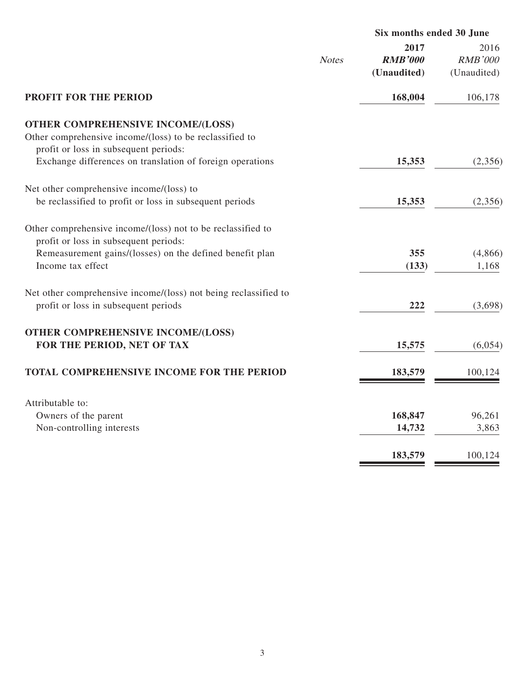|                                                                                                                                                                                       |              | Six months ended 30 June              |                                       |
|---------------------------------------------------------------------------------------------------------------------------------------------------------------------------------------|--------------|---------------------------------------|---------------------------------------|
|                                                                                                                                                                                       | <b>Notes</b> | 2017<br><b>RMB'000</b><br>(Unaudited) | 2016<br><b>RMB'000</b><br>(Unaudited) |
| <b>PROFIT FOR THE PERIOD</b>                                                                                                                                                          |              | 168,004                               | 106,178                               |
| <b>OTHER COMPREHENSIVE INCOME/(LOSS)</b><br>Other comprehensive income/(loss) to be reclassified to<br>profit or loss in subsequent periods:                                          |              |                                       |                                       |
| Exchange differences on translation of foreign operations                                                                                                                             |              | 15,353                                | (2,356)                               |
| Net other comprehensive income/(loss) to<br>be reclassified to profit or loss in subsequent periods                                                                                   |              | 15,353                                | (2,356)                               |
| Other comprehensive income/(loss) not to be reclassified to<br>profit or loss in subsequent periods:<br>Remeasurement gains/(losses) on the defined benefit plan<br>Income tax effect |              | 355<br>(133)                          | (4,866)<br>1,168                      |
| Net other comprehensive income/(loss) not being reclassified to<br>profit or loss in subsequent periods                                                                               |              | 222                                   | (3,698)                               |
| OTHER COMPREHENSIVE INCOME/(LOSS)<br>FOR THE PERIOD, NET OF TAX                                                                                                                       |              | 15,575                                | (6,054)                               |
| <b>TOTAL COMPREHENSIVE INCOME FOR THE PERIOD</b>                                                                                                                                      |              | 183,579                               | 100,124                               |
| Attributable to:<br>Owners of the parent<br>Non-controlling interests                                                                                                                 |              | 168,847<br>14,732                     | 96,261<br>3,863                       |
|                                                                                                                                                                                       |              | 183,579                               | 100,124                               |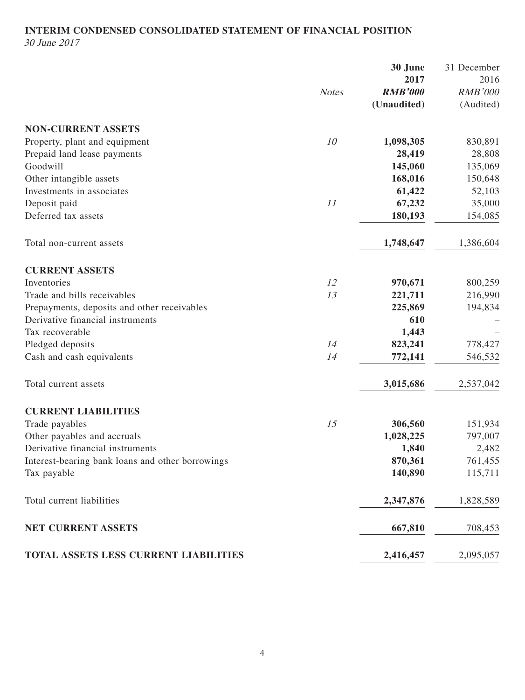## **INTERIM CONDENSED CONSOLIDATED STATEMENT OF FINANCIAL POSITION** 30 June 2017

|                                                  | <b>Notes</b> | 30 June<br>2017<br><b>RMB'000</b> | 31 December<br>2016<br><b>RMB'000</b> |
|--------------------------------------------------|--------------|-----------------------------------|---------------------------------------|
|                                                  |              | (Unaudited)                       | (Audited)                             |
| <b>NON-CURRENT ASSETS</b>                        |              |                                   |                                       |
| Property, plant and equipment                    | 10           | 1,098,305                         | 830,891                               |
| Prepaid land lease payments                      |              | 28,419                            | 28,808                                |
| Goodwill                                         |              | 145,060                           | 135,069                               |
| Other intangible assets                          |              | 168,016                           | 150,648                               |
| Investments in associates                        |              | 61,422                            | 52,103                                |
| Deposit paid                                     | 11           | 67,232                            | 35,000                                |
| Deferred tax assets                              |              | 180,193                           | 154,085                               |
| Total non-current assets                         |              | 1,748,647                         | 1,386,604                             |
| <b>CURRENT ASSETS</b>                            |              |                                   |                                       |
| Inventories                                      | 12           | 970,671                           | 800,259                               |
| Trade and bills receivables                      | 13           | 221,711                           | 216,990                               |
| Prepayments, deposits and other receivables      |              | 225,869                           | 194,834                               |
| Derivative financial instruments                 |              | 610                               |                                       |
| Tax recoverable                                  |              | 1,443                             |                                       |
| Pledged deposits                                 | 14           | 823,241                           | 778,427                               |
| Cash and cash equivalents                        | 14           | 772,141                           | 546,532                               |
| Total current assets                             |              | 3,015,686                         | 2,537,042                             |
| <b>CURRENT LIABILITIES</b>                       |              |                                   |                                       |
| Trade payables                                   | 15           | 306,560                           | 151,934                               |
| Other payables and accruals                      |              | 1,028,225                         | 797,007                               |
| Derivative financial instruments                 |              | 1,840                             | 2,482                                 |
| Interest-bearing bank loans and other borrowings |              | 870,361                           | 761,455                               |
| Tax payable                                      |              | 140,890                           | 115,711                               |
| Total current liabilities                        |              | 2,347,876                         | 1,828,589                             |
| NET CURRENT ASSETS                               |              | 667,810                           | 708,453                               |
| TOTAL ASSETS LESS CURRENT LIABILITIES            |              | 2,416,457                         | 2,095,057                             |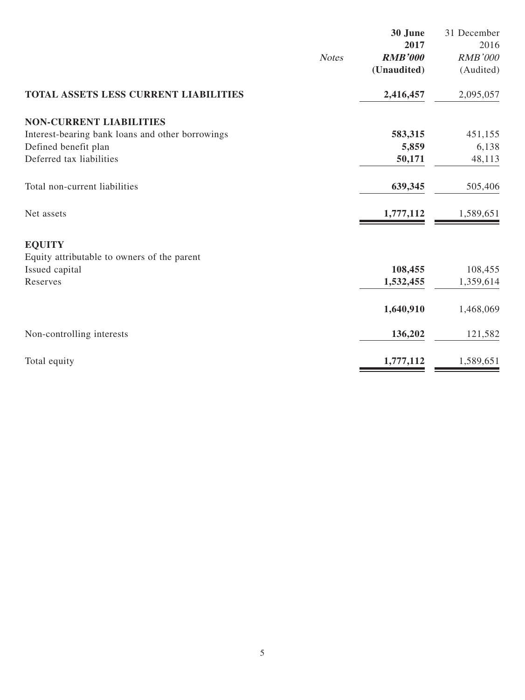|                                                  |              | 30 June        | 31 December    |
|--------------------------------------------------|--------------|----------------|----------------|
|                                                  |              | 2017           | 2016           |
|                                                  | <b>Notes</b> | <b>RMB'000</b> | <b>RMB'000</b> |
|                                                  |              | (Unaudited)    | (Audited)      |
| TOTAL ASSETS LESS CURRENT LIABILITIES            |              | 2,416,457      | 2,095,057      |
| <b>NON-CURRENT LIABILITIES</b>                   |              |                |                |
| Interest-bearing bank loans and other borrowings |              | 583,315        | 451,155        |
| Defined benefit plan                             |              | 5,859          | 6,138          |
| Deferred tax liabilities                         |              | 50,171         | 48,113         |
| Total non-current liabilities                    |              | 639,345        | 505,406        |
| Net assets                                       |              | 1,777,112      | 1,589,651      |
| <b>EQUITY</b>                                    |              |                |                |
| Equity attributable to owners of the parent      |              |                |                |
| Issued capital                                   |              | 108,455        | 108,455        |
| Reserves                                         |              | 1,532,455      | 1,359,614      |
|                                                  |              | 1,640,910      | 1,468,069      |
| Non-controlling interests                        |              | 136,202        | 121,582        |
| Total equity                                     |              | 1,777,112      | 1,589,651      |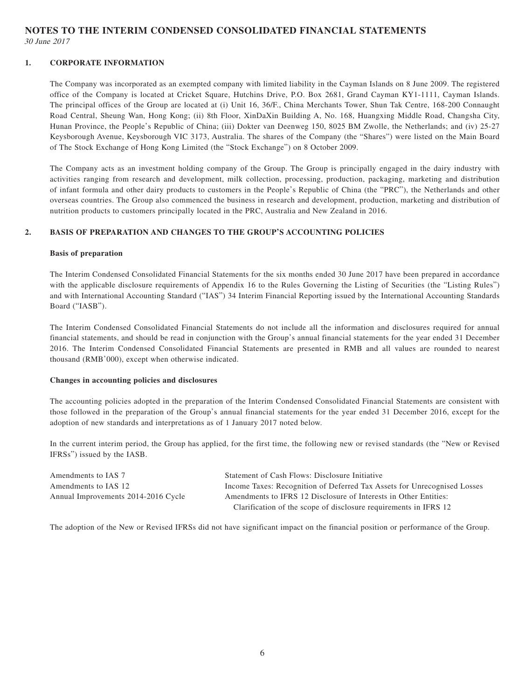**NOTES TO THE INTERIM CONDENSED CONSOLIDATED FINANCIAL STATEMENTS** 30 June 2017

#### **1. CORPORATE INFORMATION**

The Company was incorporated as an exempted company with limited liability in the Cayman Islands on 8 June 2009. The registered office of the Company is located at Cricket Square, Hutchins Drive, P.O. Box 2681, Grand Cayman KY1-1111, Cayman Islands. The principal offices of the Group are located at (i) Unit 16, 36/F., China Merchants Tower, Shun Tak Centre, 168-200 Connaught Road Central, Sheung Wan, Hong Kong; (ii) 8th Floor, XinDaXin Building A, No. 168, Huangxing Middle Road, Changsha City, Hunan Province, the People's Republic of China; (iii) Dokter van Deenweg 150, 8025 BM Zwolle, the Netherlands; and (iv) 25-27 Keysborough Avenue, Keysborough VIC 3173, Australia. The shares of the Company (the "Shares") were listed on the Main Board of The Stock Exchange of Hong Kong Limited (the "Stock Exchange") on 8 October 2009.

The Company acts as an investment holding company of the Group. The Group is principally engaged in the dairy industry with activities ranging from research and development, milk collection, processing, production, packaging, marketing and distribution of infant formula and other dairy products to customers in the People's Republic of China (the "PRC"), the Netherlands and other overseas countries. The Group also commenced the business in research and development, production, marketing and distribution of nutrition products to customers principally located in the PRC, Australia and New Zealand in 2016.

### **2. BASIS OF PREPARATION AND CHANGES TO THE GROUP'S ACCOUNTING POLICIES**

#### **Basis of preparation**

The Interim Condensed Consolidated Financial Statements for the six months ended 30 June 2017 have been prepared in accordance with the applicable disclosure requirements of Appendix 16 to the Rules Governing the Listing of Securities (the "Listing Rules") and with International Accounting Standard ("IAS") 34 Interim Financial Reporting issued by the International Accounting Standards Board ("IASB").

The Interim Condensed Consolidated Financial Statements do not include all the information and disclosures required for annual financial statements, and should be read in conjunction with the Group's annual financial statements for the year ended 31 December 2016. The Interim Condensed Consolidated Financial Statements are presented in RMB and all values are rounded to nearest thousand (RMB'000), except when otherwise indicated.

#### **Changes in accounting policies and disclosures**

The accounting policies adopted in the preparation of the Interim Condensed Consolidated Financial Statements are consistent with those followed in the preparation of the Group's annual financial statements for the year ended 31 December 2016, except for the adoption of new standards and interpretations as of 1 January 2017 noted below.

In the current interim period, the Group has applied, for the first time, the following new or revised standards (the "New or Revised IFRSs") issued by the IASB.

| Amendments to IAS 7                 | Statement of Cash Flows: Disclosure Initiative                           |
|-------------------------------------|--------------------------------------------------------------------------|
| Amendments to IAS 12                | Income Taxes: Recognition of Deferred Tax Assets for Unrecognised Losses |
| Annual Improvements 2014-2016 Cycle | Amendments to IFRS 12 Disclosure of Interests in Other Entities:         |
|                                     | Clarification of the scope of disclosure requirements in IFRS 12         |

The adoption of the New or Revised IFRSs did not have significant impact on the financial position or performance of the Group.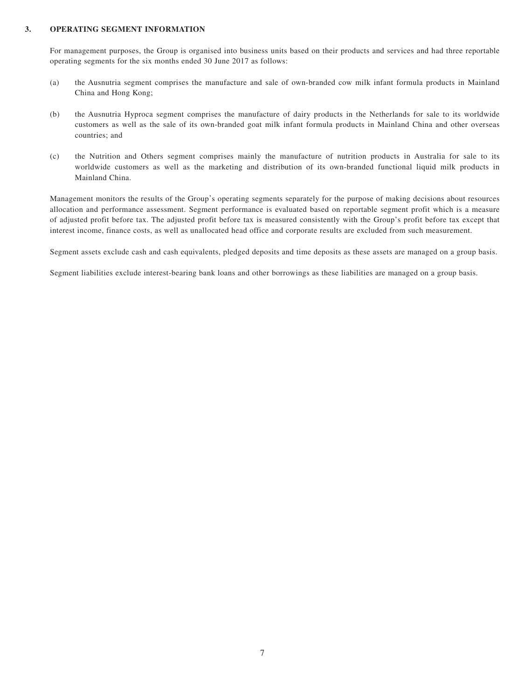#### **3. OPERATING SEGMENT INFORMATION**

For management purposes, the Group is organised into business units based on their products and services and had three reportable operating segments for the six months ended 30 June 2017 as follows:

- (a) the Ausnutria segment comprises the manufacture and sale of own-branded cow milk infant formula products in Mainland China and Hong Kong;
- (b) the Ausnutria Hyproca segment comprises the manufacture of dairy products in the Netherlands for sale to its worldwide customers as well as the sale of its own-branded goat milk infant formula products in Mainland China and other overseas countries; and
- (c) the Nutrition and Others segment comprises mainly the manufacture of nutrition products in Australia for sale to its worldwide customers as well as the marketing and distribution of its own-branded functional liquid milk products in Mainland China.

Management monitors the results of the Group's operating segments separately for the purpose of making decisions about resources allocation and performance assessment. Segment performance is evaluated based on reportable segment profit which is a measure of adjusted profit before tax. The adjusted profit before tax is measured consistently with the Group's profit before tax except that interest income, finance costs, as well as unallocated head office and corporate results are excluded from such measurement.

Segment assets exclude cash and cash equivalents, pledged deposits and time deposits as these assets are managed on a group basis.

Segment liabilities exclude interest-bearing bank loans and other borrowings as these liabilities are managed on a group basis.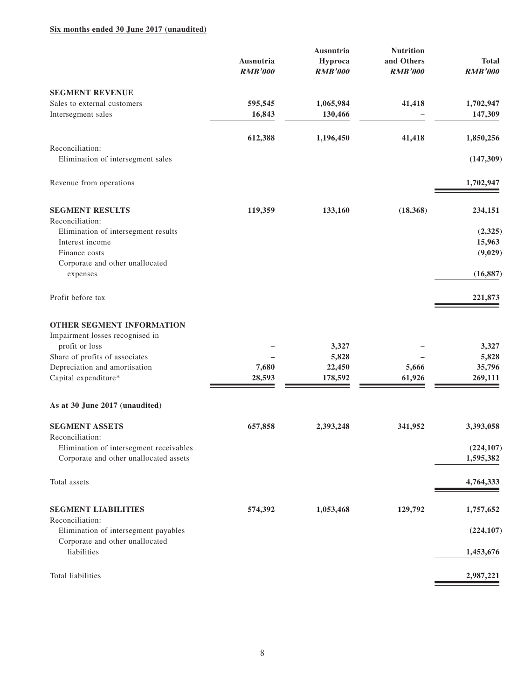### **Six months ended 30 June 2017 (unaudited)**

|                                                         | Ausnutria<br><b>RMB'000</b> | Ausnutria<br>Hyproca<br><b>RMB'000</b> | <b>Nutrition</b><br>and Others<br><b>RMB'000</b> | <b>Total</b><br><b>RMB'000</b> |
|---------------------------------------------------------|-----------------------------|----------------------------------------|--------------------------------------------------|--------------------------------|
| <b>SEGMENT REVENUE</b>                                  |                             |                                        |                                                  |                                |
| Sales to external customers<br>Intersegment sales       | 595,545<br>16,843           | 1,065,984<br>130,466                   | 41,418                                           | 1,702,947<br>147,309           |
|                                                         | 612,388                     | 1,196,450                              | 41,418                                           | 1,850,256                      |
| Reconciliation:<br>Elimination of intersegment sales    |                             |                                        |                                                  | (147, 309)                     |
| Revenue from operations                                 |                             |                                        |                                                  | 1,702,947                      |
| <b>SEGMENT RESULTS</b><br>Reconciliation:               | 119,359                     | 133,160                                | (18, 368)                                        | 234,151                        |
| Elimination of intersegment results                     |                             |                                        |                                                  | (2,325)                        |
| Interest income                                         |                             |                                        |                                                  | 15,963                         |
| Finance costs                                           |                             |                                        |                                                  | (9,029)                        |
| Corporate and other unallocated<br>expenses             |                             |                                        |                                                  | (16, 887)                      |
| Profit before tax                                       |                             |                                        |                                                  | 221,873                        |
| OTHER SEGMENT INFORMATION                               |                             |                                        |                                                  |                                |
| Impairment losses recognised in<br>profit or loss       |                             | 3,327                                  |                                                  | 3,327                          |
| Share of profits of associates                          |                             | 5,828                                  |                                                  | 5,828                          |
| Depreciation and amortisation                           | 7,680                       | 22,450                                 | 5,666                                            | 35,796                         |
| Capital expenditure*                                    | 28,593                      | 178,592                                | 61,926                                           | 269,111                        |
| As at 30 June 2017 (unaudited)                          |                             |                                        |                                                  |                                |
| <b>SEGMENT ASSETS</b><br>Reconciliation:                | 657,858                     | 2,393,248                              | 341,952                                          | 3,393,058                      |
| Elimination of intersegment receivables                 |                             |                                        |                                                  | (224, 107)                     |
| Corporate and other unallocated assets                  |                             |                                        |                                                  | 1,595,382                      |
| Total assets                                            |                             |                                        |                                                  | 4,764,333                      |
| <b>SEGMENT LIABILITIES</b>                              | 574,392                     | 1,053,468                              | 129,792                                          | 1,757,652                      |
| Reconciliation:<br>Elimination of intersegment payables |                             |                                        |                                                  | (224, 107)                     |
| Corporate and other unallocated                         |                             |                                        |                                                  |                                |
| liabilities                                             |                             |                                        |                                                  | 1,453,676                      |
| Total liabilities                                       |                             |                                        |                                                  | 2,987,221                      |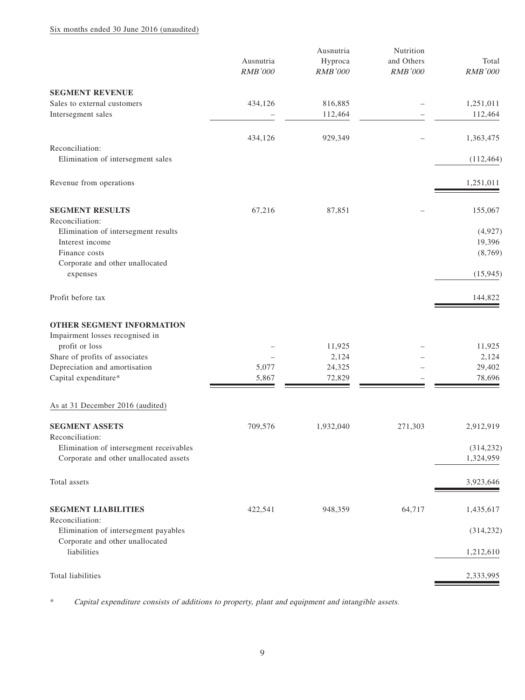### Six months ended 30 June 2016 (unaudited)

|                                                                                                            | Ausnutria<br><b>RMB'000</b> | Ausnutria<br>Hyproca<br><b>RMB'000</b> | Nutrition<br>and Others<br>RMB'000 | Total<br><b>RMB'000</b>       |
|------------------------------------------------------------------------------------------------------------|-----------------------------|----------------------------------------|------------------------------------|-------------------------------|
| <b>SEGMENT REVENUE</b>                                                                                     |                             |                                        |                                    |                               |
| Sales to external customers<br>Intersegment sales                                                          | 434,126                     | 816,885<br>112,464                     |                                    | 1,251,011<br>112,464          |
|                                                                                                            | 434,126                     | 929,349                                |                                    | 1,363,475                     |
| Reconciliation:<br>Elimination of intersegment sales                                                       |                             |                                        |                                    | (112, 464)                    |
| Revenue from operations                                                                                    |                             |                                        |                                    | 1,251,011                     |
| <b>SEGMENT RESULTS</b><br>Reconciliation:                                                                  | 67,216                      | 87,851                                 |                                    | 155,067                       |
| Elimination of intersegment results<br>Interest income<br>Finance costs<br>Corporate and other unallocated |                             |                                        |                                    | (4,927)<br>19,396<br>(8, 769) |
| expenses                                                                                                   |                             |                                        |                                    | (15, 945)                     |
| Profit before tax                                                                                          |                             |                                        |                                    | 144,822                       |
| OTHER SEGMENT INFORMATION<br>Impairment losses recognised in<br>profit or loss                             |                             | 11,925                                 |                                    | 11,925                        |
| Share of profits of associates<br>Depreciation and amortisation<br>Capital expenditure*                    | 5,077<br>5,867              | 2,124<br>24,325<br>72,829              |                                    | 2,124<br>29,402<br>78,696     |
| As at 31 December 2016 (audited)                                                                           |                             |                                        |                                    |                               |
| <b>SEGMENT ASSETS</b><br>Reconciliation:                                                                   | 709,576                     | 1,932,040                              | 271,303                            | 2,912,919                     |
| Elimination of intersegment receivables<br>Corporate and other unallocated assets                          |                             |                                        |                                    | (314, 232)<br>1,324,959       |
| Total assets                                                                                               |                             |                                        |                                    | 3,923,646                     |
| <b>SEGMENT LIABILITIES</b><br>Reconciliation:                                                              | 422,541                     | 948,359                                | 64,717                             | 1,435,617                     |
| Elimination of intersegment payables                                                                       |                             |                                        |                                    | (314, 232)                    |
| Corporate and other unallocated<br>liabilities                                                             |                             |                                        |                                    | 1,212,610                     |
| Total liabilities                                                                                          |                             |                                        |                                    | 2,333,995                     |

\* Capital expenditure consists of additions to property, plant and equipment and intangible assets.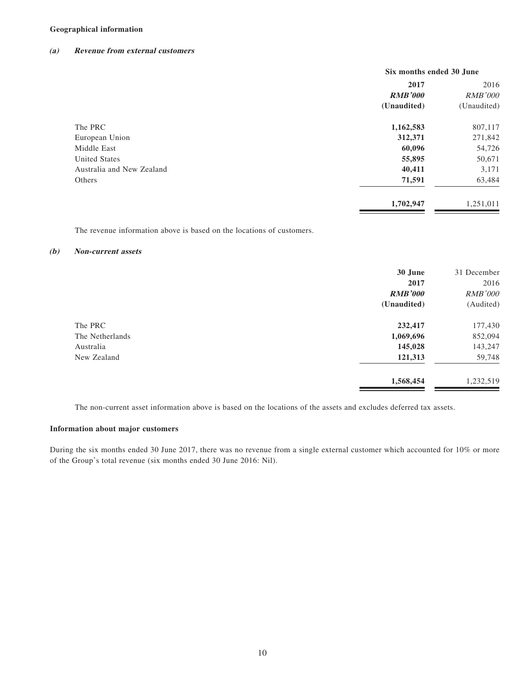### **Geographical information**

#### **(a) Revenue from external customers**

|                           | Six months ended 30 June |                |
|---------------------------|--------------------------|----------------|
|                           | 2017                     | 2016           |
|                           | <b>RMB'000</b>           | <b>RMB'000</b> |
|                           | (Unaudited)              | (Unaudited)    |
| The PRC                   | 1,162,583                | 807,117        |
| European Union            | 312,371                  | 271,842        |
| Middle East               | 60,096                   | 54,726         |
| <b>United States</b>      | 55,895                   | 50,671         |
| Australia and New Zealand | 40,411                   | 3,171          |
| Others                    | 71,591                   | 63,484         |
|                           | 1,702,947                | 1,251,011      |
|                           |                          |                |

The revenue information above is based on the locations of customers.

#### **(b) Non-current assets**

|                 | 30 June        | 31 December    |
|-----------------|----------------|----------------|
|                 | 2017           | 2016           |
|                 | <b>RMB'000</b> | <b>RMB'000</b> |
|                 | (Unaudited)    | (Audited)      |
| The PRC         | 232,417        | 177,430        |
| The Netherlands | 1,069,696      | 852,094        |
| Australia       | 145,028        | 143,247        |
| New Zealand     | 121,313        | 59,748         |
|                 | 1,568,454      | 1,232,519      |

The non-current asset information above is based on the locations of the assets and excludes deferred tax assets.

#### **Information about major customers**

During the six months ended 30 June 2017, there was no revenue from a single external customer which accounted for 10% or more of the Group's total revenue (six months ended 30 June 2016: Nil).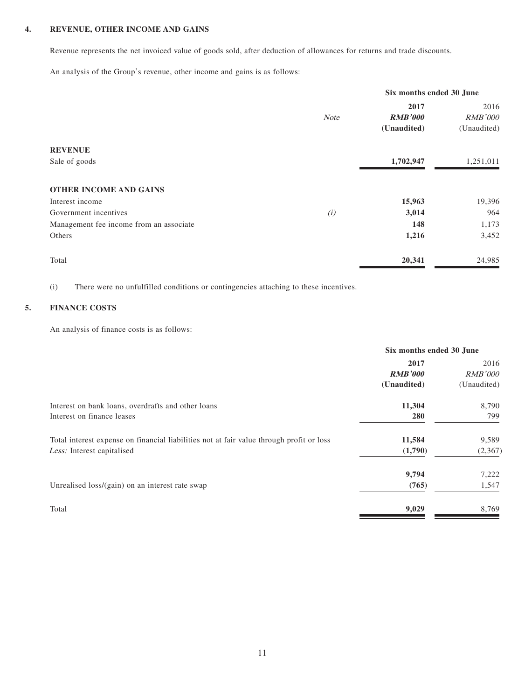### **4. REVENUE, OTHER INCOME AND GAINS**

Revenue represents the net invoiced value of goods sold, after deduction of allowances for returns and trade discounts.

An analysis of the Group's revenue, other income and gains is as follows:

|                                         | Six months ended 30 June |                |                |
|-----------------------------------------|--------------------------|----------------|----------------|
|                                         |                          | 2017           | 2016           |
|                                         | <b>Note</b>              | <b>RMB'000</b> | <b>RMB'000</b> |
|                                         |                          | (Unaudited)    | (Unaudited)    |
| <b>REVENUE</b>                          |                          |                |                |
| Sale of goods                           |                          | 1,702,947      | 1,251,011      |
| <b>OTHER INCOME AND GAINS</b>           |                          |                |                |
| Interest income                         |                          | 15,963         | 19,396         |
| Government incentives                   | (i)                      | 3,014          | 964            |
| Management fee income from an associate |                          | 148            | 1,173          |
| Others                                  |                          | 1,216          | 3,452          |
| Total                                   |                          | 20,341         | 24,985         |

(i) There were no unfulfilled conditions or contingencies attaching to these incentives.

### **5. FINANCE COSTS**

An analysis of finance costs is as follows:

| Six months ended 30 June |                |
|--------------------------|----------------|
| 2017                     | 2016           |
| <b>RMB'000</b>           | <i>RMB'000</i> |
| (Unaudited)              | (Unaudited)    |
| 11,304                   | 8,790          |
| <b>280</b>               | 799            |
| 11,584                   | 9,589          |
| (1,790)                  | (2,367)        |
| 9,794                    | 7,222          |
| (765)                    | 1,547          |
| 9,029                    | 8,769          |
|                          |                |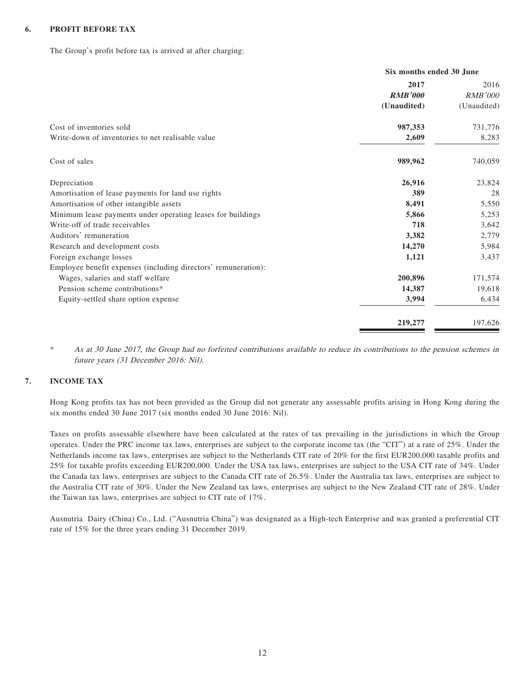### **6. PROFIT BEFORE TAX**

The Group's profit before tax is arrived at after charging:

|                                                                | Six months ended 30 June |                |
|----------------------------------------------------------------|--------------------------|----------------|
|                                                                | 2017                     | 2016           |
|                                                                | <b>RMB'000</b>           | <b>RMB'000</b> |
|                                                                | (Unaudited)              | (Unaudited)    |
| Cost of inventories sold                                       | 987,353                  | 731,776        |
| Write-down of inventories to net realisable value              | 2,609                    | 8,283          |
| Cost of sales                                                  | 989,962                  | 740,059        |
| Depreciation                                                   | 26,916                   | 23,824         |
| Amortisation of lease payments for land use rights             | 389                      | 28             |
| Amortisation of other intangible assets                        | 8,491                    | 5,550          |
| Minimum lease payments under operating leases for buildings    | 5,866                    | 5,253          |
| Write-off of trade receivables                                 | 718                      | 3,642          |
| Auditors' remuneration                                         | 3,382                    | 2,779          |
| Research and development costs                                 | 14,270                   | 5,984          |
| Foreign exchange losses                                        | 1,121                    | 3,437          |
| Employee benefit expenses (including directors' remuneration): |                          |                |
| Wages, salaries and staff welfare                              | 200,896                  | 171,574        |
| Pension scheme contributions*                                  | 14,387                   | 19,618         |
| Equity-settled share option expense                            | 3,994                    | 6,434          |
|                                                                | 219,277                  | 197,626        |

\* As at 30 June 2017, the Group had no forfeited contributions available to reduce its contributions to the pension schemes in future years (31 December 2016: Nil).

### **7. INCOME TAX**

Hong Kong profits tax has not been provided as the Group did not generate any assessable profits arising in Hong Kong during the six months ended 30 June 2017 (six months ended 30 June 2016: Nil).

Taxes on profits assessable elsewhere have been calculated at the rates of tax prevailing in the jurisdictions in which the Group operates. Under the PRC income tax laws, enterprises are subject to the corporate income tax (the "CIT") at a rate of 25%. Under the Netherlands income tax laws, enterprises are subject to the Netherlands CIT rate of 20% for the first EUR200,000 taxable profits and 25% for taxable profits exceeding EUR200,000. Under the USA tax laws, enterprises are subject to the USA CIT rate of 34%. Under the Canada tax laws, enterprises are subject to the Canada CIT rate of 26.5%. Under the Australia tax laws, enterprises are subject to the Australia CIT rate of 30%. Under the New Zealand tax laws, enterprises are subject to the New Zealand CIT rate of 28%. Under the Taiwan tax laws, enterprises are subject to CIT rate of 17%.

Ausnutria Dairy (China) Co., Ltd. ("Ausnutria China") was designated as a High-tech Enterprise and was granted a preferential CIT rate of 15% for the three years ending 31 December 2019.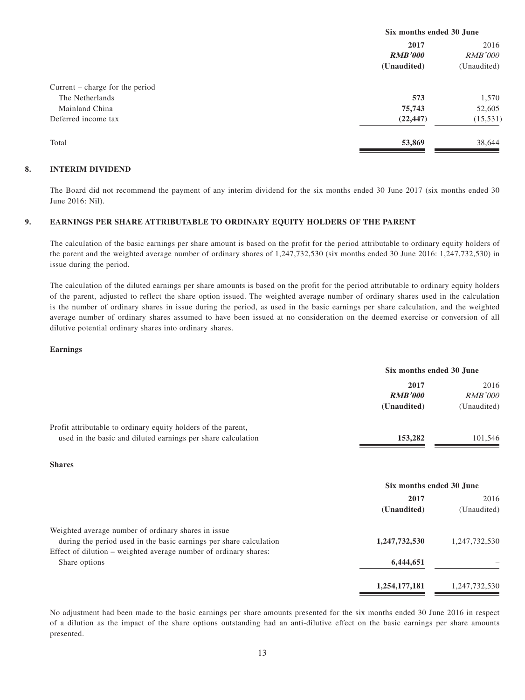|                                 | Six months ended 30 June |                |  |
|---------------------------------|--------------------------|----------------|--|
|                                 | 2017                     |                |  |
|                                 | <b>RMB'000</b>           | <i>RMB'000</i> |  |
|                                 | (Unaudited)              | (Unaudited)    |  |
| Current – charge for the period |                          |                |  |
| The Netherlands                 | 573                      | 1,570          |  |
| Mainland China                  | 75,743                   | 52,605         |  |
| Deferred income tax             | (22, 447)                | (15, 531)      |  |
| Total                           | 53,869                   | 38,644         |  |

### **8. INTERIM DIVIDEND**

The Board did not recommend the payment of any interim dividend for the six months ended 30 June 2017 (six months ended 30 June 2016: Nil).

#### **9. EARNINGS PER SHARE ATTRIBUTABLE TO ORDINARY EQUITY HOLDERS OF THE PARENT**

The calculation of the basic earnings per share amount is based on the profit for the period attributable to ordinary equity holders of the parent and the weighted average number of ordinary shares of 1,247,732,530 (six months ended 30 June 2016: 1,247,732,530) in issue during the period.

The calculation of the diluted earnings per share amounts is based on the profit for the period attributable to ordinary equity holders of the parent, adjusted to reflect the share option issued. The weighted average number of ordinary shares used in the calculation is the number of ordinary shares in issue during the period, as used in the basic earnings per share calculation, and the weighted average number of ordinary shares assumed to have been issued at no consideration on the deemed exercise or conversion of all dilutive potential ordinary shares into ordinary shares.

#### **Earnings**

|                                                                                                                                        | Six months ended 30 June              |                                       |  |
|----------------------------------------------------------------------------------------------------------------------------------------|---------------------------------------|---------------------------------------|--|
|                                                                                                                                        | 2017<br><b>RMB'000</b><br>(Unaudited) | 2016<br><b>RMB'000</b><br>(Unaudited) |  |
| Profit attributable to ordinary equity holders of the parent,                                                                          |                                       |                                       |  |
| used in the basic and diluted earnings per share calculation                                                                           | 153,282                               | 101,546                               |  |
| <b>Shares</b>                                                                                                                          |                                       |                                       |  |
|                                                                                                                                        | Six months ended 30 June              |                                       |  |
|                                                                                                                                        | 2017<br>(Unaudited)                   | 2016<br>(Unaudited)                   |  |
| Weighted average number of ordinary shares in issue                                                                                    |                                       |                                       |  |
| during the period used in the basic earnings per share calculation<br>Effect of dilution – weighted average number of ordinary shares: | 1,247,732,530                         | 1,247,732,530                         |  |
| Share options                                                                                                                          | 6,444,651                             |                                       |  |
|                                                                                                                                        | 1,254,177,181                         | 1,247,732,530                         |  |

No adjustment had been made to the basic earnings per share amounts presented for the six months ended 30 June 2016 in respect of a dilution as the impact of the share options outstanding had an anti-dilutive effect on the basic earnings per share amounts presented.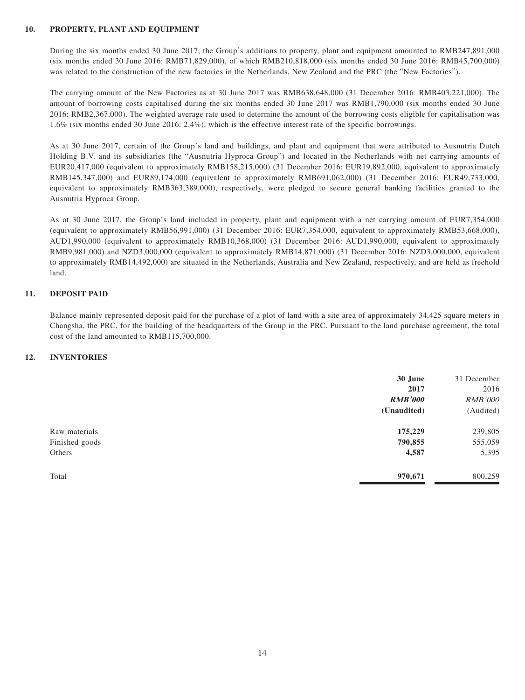#### **10. PROPERTY, PLANT AND EQUIPMENT**

During the six months ended 30 June 2017, the Group's additions to property, plant and equipment amounted to RMB247,891,000 (six months ended 30 June 2016: RMB71,829,000), of which RMB210,818,000 (six months ended 30 June 2016: RMB45,700,000) was related to the construction of the new factories in the Netherlands, New Zealand and the PRC (the "New Factories").

The carrying amount of the New Factories as at 30 June 2017 was RMB638,648,000 (31 December 2016: RMB403,221,000). The amount of borrowing costs capitalised during the six months ended 30 June 2017 was RMB1,790,000 (six months ended 30 June 2016: RMB2,367,000). The weighted average rate used to determine the amount of the borrowing costs eligible for capitalisation was 1.6% (six months ended 30 June 2016: 2.4%), which is the effective interest rate of the specific borrowings.

As at 30 June 2017, certain of the Group's land and buildings, and plant and equipment that were attributed to Ausnutria Dutch Holding B.V. and its subsidiaries (the "Ausnutria Hyproca Group") and located in the Netherlands with net carrying amounts of EUR20,417,000 (equivalent to approximately RMB158,215,000) (31 December 2016: EUR19,892,000, equivalent to approximately RMB145,347,000) and EUR89,174,000 (equivalent to approximately RMB691,062,000) (31 December 2016: EUR49,733,000, equivalent to approximately RMB363,389,000), respectively, were pledged to secure general banking facilities granted to the Ausnutria Hyproca Group.

As at 30 June 2017, the Group's land included in property, plant and equipment with a net carrying amount of EUR7,354,000 (equivalent to approximately RMB56,991,000) (31 December 2016: EUR7,354,000, equivalent to approximately RMB53,668,000), AUD1,990,000 (equivalent to approximately RMB10,368,000) (31 December 2016: AUD1,990,000, equivalent to approximately RMB9,981,000) and NZD3,000,000 (equivalent to approximately RMB14,871,000) (31 December 2016: NZD3,000,000, equivalent to approximately RMB14,492,000) are situated in the Netherlands, Australia and New Zealand, respectively, and are held as freehold land.

### **11. DEPOSIT PAID**

Balance mainly represented deposit paid for the purchase of a plot of land with a site area of approximately 34,425 square meters in Changsha, the PRC, for the building of the headquarters of the Group in the PRC. Pursuant to the land purchase agreement, the total cost of the land amounted to RMB115,700,000.

### **12. INVENTORIES**

|                | 30 June        | 31 December    |
|----------------|----------------|----------------|
|                | 2017           | 2016           |
|                | <b>RMB'000</b> | <b>RMB'000</b> |
|                | (Unaudited)    | (Audited)      |
| Raw materials  | 175,229        | 239,805        |
| Finished goods | 790,855        | 555,059        |
| Others         | 4,587          | 5,395          |
| Total          | 970,671        | 800,259        |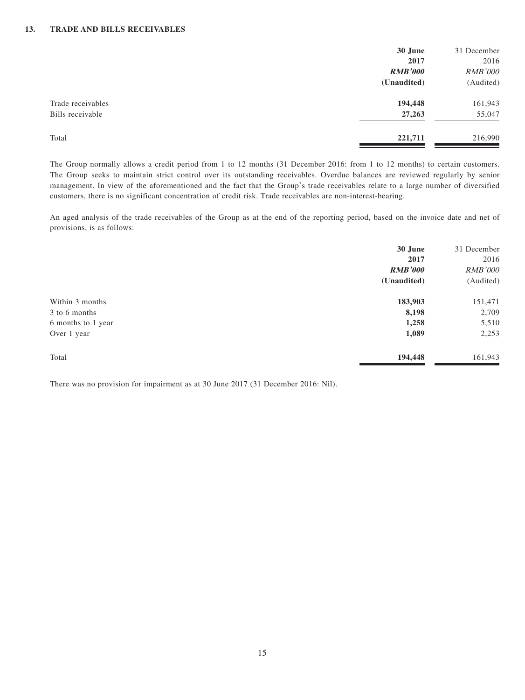|                   | 30 June        | 31 December    |
|-------------------|----------------|----------------|
|                   | 2017           | 2016           |
|                   | <b>RMB'000</b> | <b>RMB'000</b> |
|                   | (Unaudited)    | (Audited)      |
| Trade receivables | 194,448        | 161,943        |
| Bills receivable  | 27,263         | 55,047         |
| Total             | 221,711        | 216,990        |

The Group normally allows a credit period from 1 to 12 months (31 December 2016: from 1 to 12 months) to certain customers. The Group seeks to maintain strict control over its outstanding receivables. Overdue balances are reviewed regularly by senior management. In view of the aforementioned and the fact that the Group's trade receivables relate to a large number of diversified customers, there is no significant concentration of credit risk. Trade receivables are non-interest-bearing.

An aged analysis of the trade receivables of the Group as at the end of the reporting period, based on the invoice date and net of provisions, is as follows:

|                    | 30 June        | 31 December    |
|--------------------|----------------|----------------|
|                    | 2017           | 2016           |
|                    | <b>RMB'000</b> | <b>RMB'000</b> |
|                    | (Unaudited)    | (Audited)      |
| Within 3 months    | 183,903        | 151,471        |
| 3 to 6 months      | 8,198          | 2,709          |
| 6 months to 1 year | 1,258          | 5,510          |
| Over 1 year        | 1,089          | 2,253          |
| Total              | 194,448        | 161,943        |

There was no provision for impairment as at 30 June 2017 (31 December 2016: Nil).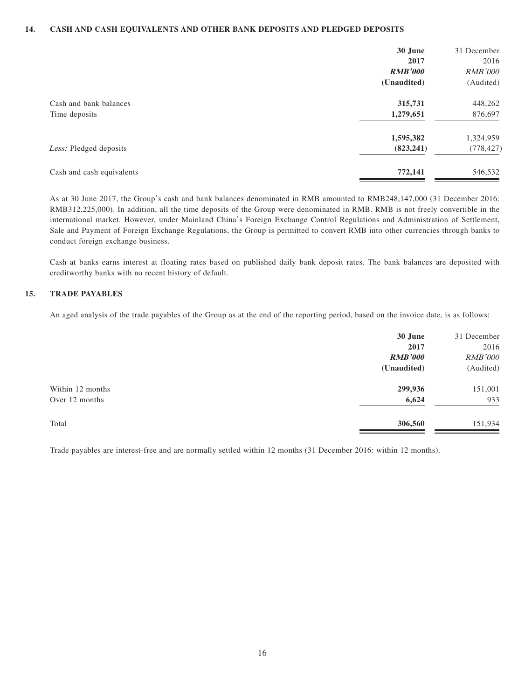### **14. CASH AND CASH EQUIVALENTS AND OTHER BANK DEPOSITS AND PLEDGED DEPOSITS**

|                           | 30 June        | 31 December    |
|---------------------------|----------------|----------------|
|                           | 2017           | 2016           |
|                           | <b>RMB'000</b> | <i>RMB'000</i> |
|                           | (Unaudited)    | (Audited)      |
| Cash and bank balances    | 315,731        | 448,262        |
| Time deposits             | 1,279,651      | 876,697        |
|                           | 1,595,382      | 1,324,959      |
| Less: Pledged deposits    | (823, 241)     | (778, 427)     |
| Cash and cash equivalents | 772,141        | 546,532        |

As at 30 June 2017, the Group's cash and bank balances denominated in RMB amounted to RMB248,147,000 (31 December 2016: RMB312,225,000). In addition, all the time deposits of the Group were denominated in RMB. RMB is not freely convertible in the international market. However, under Mainland China's Foreign Exchange Control Regulations and Administration of Settlement, Sale and Payment of Foreign Exchange Regulations, the Group is permitted to convert RMB into other currencies through banks to conduct foreign exchange business.

Cash at banks earns interest at floating rates based on published daily bank deposit rates. The bank balances are deposited with creditworthy banks with no recent history of default.

### **15. TRADE PAYABLES**

An aged analysis of the trade payables of the Group as at the end of the reporting period, based on the invoice date, is as follows:

|                  | 30 June        | 31 December    |
|------------------|----------------|----------------|
|                  | 2017           | 2016           |
|                  | <b>RMB'000</b> | <b>RMB'000</b> |
|                  | (Unaudited)    | (Audited)      |
| Within 12 months | 299,936        | 151,001        |
| Over 12 months   | 6,624          | 933            |
| Total            | 306,560        | 151,934        |
|                  |                |                |

Trade payables are interest-free and are normally settled within 12 months (31 December 2016: within 12 months).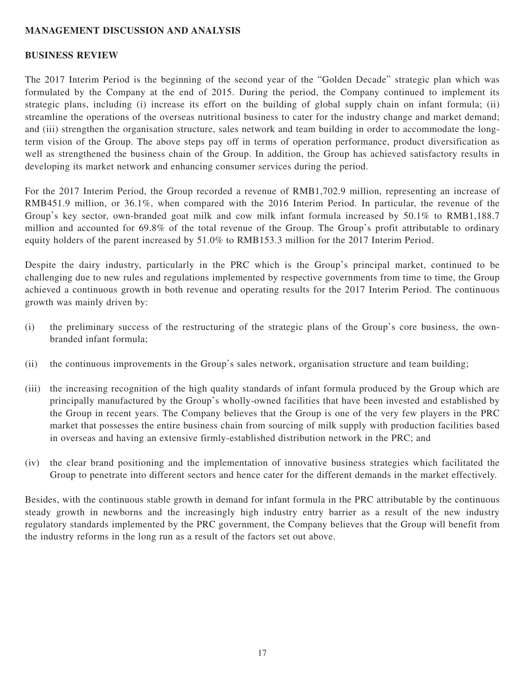## **MANAGEMENT DISCUSSION AND ANALYSIS**

### **BUSINESS REVIEW**

The 2017 Interim Period is the beginning of the second year of the "Golden Decade" strategic plan which was formulated by the Company at the end of 2015. During the period, the Company continued to implement its strategic plans, including (i) increase its effort on the building of global supply chain on infant formula; (ii) streamline the operations of the overseas nutritional business to cater for the industry change and market demand; and (iii) strengthen the organisation structure, sales network and team building in order to accommodate the longterm vision of the Group. The above steps pay off in terms of operation performance, product diversification as well as strengthened the business chain of the Group. In addition, the Group has achieved satisfactory results in developing its market network and enhancing consumer services during the period.

For the 2017 Interim Period, the Group recorded a revenue of RMB1,702.9 million, representing an increase of RMB451.9 million, or 36.1%, when compared with the 2016 Interim Period. In particular, the revenue of the Group's key sector, own-branded goat milk and cow milk infant formula increased by 50.1% to RMB1,188.7 million and accounted for 69.8% of the total revenue of the Group. The Group's profit attributable to ordinary equity holders of the parent increased by 51.0% to RMB153.3 million for the 2017 Interim Period.

Despite the dairy industry, particularly in the PRC which is the Group's principal market, continued to be challenging due to new rules and regulations implemented by respective governments from time to time, the Group achieved a continuous growth in both revenue and operating results for the 2017 Interim Period. The continuous growth was mainly driven by:

- (i) the preliminary success of the restructuring of the strategic plans of the Group's core business, the ownbranded infant formula;
- (ii) the continuous improvements in the Group's sales network, organisation structure and team building;
- (iii) the increasing recognition of the high quality standards of infant formula produced by the Group which are principally manufactured by the Group's wholly-owned facilities that have been invested and established by the Group in recent years. The Company believes that the Group is one of the very few players in the PRC market that possesses the entire business chain from sourcing of milk supply with production facilities based in overseas and having an extensive firmly-established distribution network in the PRC; and
- (iv) the clear brand positioning and the implementation of innovative business strategies which facilitated the Group to penetrate into different sectors and hence cater for the different demands in the market effectively.

Besides, with the continuous stable growth in demand for infant formula in the PRC attributable by the continuous steady growth in newborns and the increasingly high industry entry barrier as a result of the new industry regulatory standards implemented by the PRC government, the Company believes that the Group will benefit from the industry reforms in the long run as a result of the factors set out above.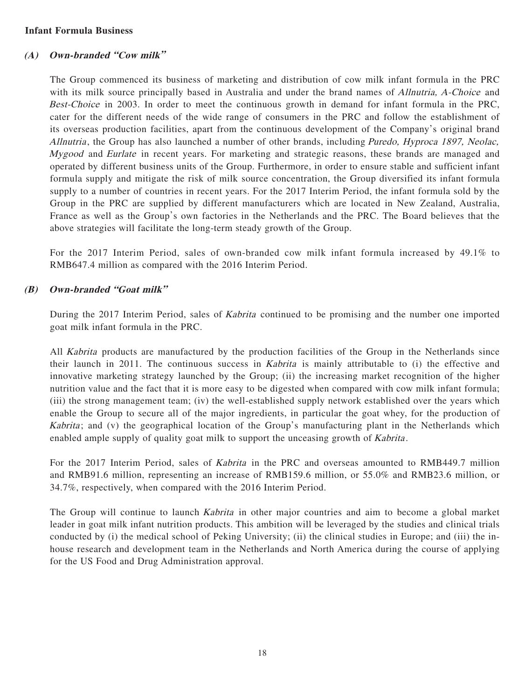## **Infant Formula Business**

## **(A) Own-branded "Cow milk"**

The Group commenced its business of marketing and distribution of cow milk infant formula in the PRC with its milk source principally based in Australia and under the brand names of *Allnutria*, *A-Choice* and Best-Choice in 2003. In order to meet the continuous growth in demand for infant formula in the PRC, cater for the different needs of the wide range of consumers in the PRC and follow the establishment of its overseas production facilities, apart from the continuous development of the Company's original brand Allnutria, the Group has also launched a number of other brands, including *Puredo, Hyproca 1897, Neolac*, Mygood and Eurlate in recent years. For marketing and strategic reasons, these brands are managed and operated by different business units of the Group. Furthermore, in order to ensure stable and sufficient infant formula supply and mitigate the risk of milk source concentration, the Group diversified its infant formula supply to a number of countries in recent years. For the 2017 Interim Period, the infant formula sold by the Group in the PRC are supplied by different manufacturers which are located in New Zealand, Australia, France as well as the Group's own factories in the Netherlands and the PRC. The Board believes that the above strategies will facilitate the long-term steady growth of the Group.

For the 2017 Interim Period, sales of own-branded cow milk infant formula increased by 49.1% to RMB647.4 million as compared with the 2016 Interim Period.

## **(B) Own-branded "Goat milk"**

During the 2017 Interim Period, sales of Kabrita continued to be promising and the number one imported goat milk infant formula in the PRC.

All Kabrita products are manufactured by the production facilities of the Group in the Netherlands since their launch in 2011. The continuous success in Kabrita is mainly attributable to (i) the effective and innovative marketing strategy launched by the Group; (ii) the increasing market recognition of the higher nutrition value and the fact that it is more easy to be digested when compared with cow milk infant formula; (iii) the strong management team; (iv) the well-established supply network established over the years which enable the Group to secure all of the major ingredients, in particular the goat whey, for the production of Kabrita; and (v) the geographical location of the Group's manufacturing plant in the Netherlands which enabled ample supply of quality goat milk to support the unceasing growth of *Kabrita*.

For the 2017 Interim Period, sales of Kabrita in the PRC and overseas amounted to RMB449.7 million and RMB91.6 million, representing an increase of RMB159.6 million, or 55.0% and RMB23.6 million, or 34.7%, respectively, when compared with the 2016 Interim Period.

The Group will continue to launch *Kabrita* in other major countries and aim to become a global market leader in goat milk infant nutrition products. This ambition will be leveraged by the studies and clinical trials conducted by (i) the medical school of Peking University; (ii) the clinical studies in Europe; and (iii) the inhouse research and development team in the Netherlands and North America during the course of applying for the US Food and Drug Administration approval.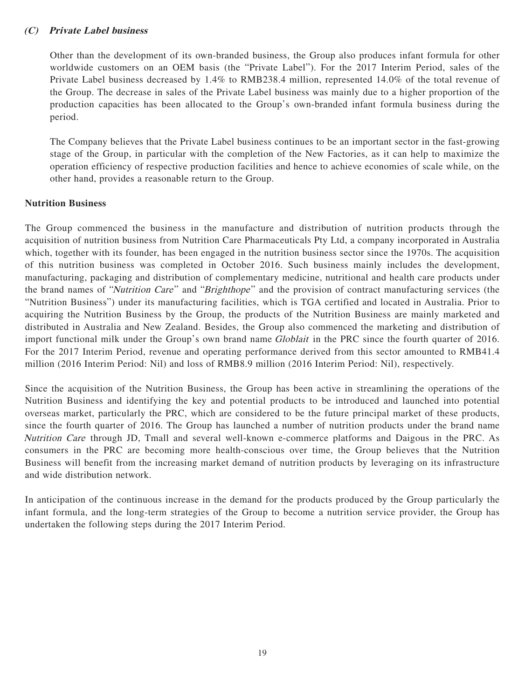## **(C) Private Label business**

Other than the development of its own-branded business, the Group also produces infant formula for other worldwide customers on an OEM basis (the "Private Label"). For the 2017 Interim Period, sales of the Private Label business decreased by 1.4% to RMB238.4 million, represented 14.0% of the total revenue of the Group. The decrease in sales of the Private Label business was mainly due to a higher proportion of the production capacities has been allocated to the Group's own-branded infant formula business during the period.

The Company believes that the Private Label business continues to be an important sector in the fast-growing stage of the Group, in particular with the completion of the New Factories, as it can help to maximize the operation efficiency of respective production facilities and hence to achieve economies of scale while, on the other hand, provides a reasonable return to the Group.

## **Nutrition Business**

The Group commenced the business in the manufacture and distribution of nutrition products through the acquisition of nutrition business from Nutrition Care Pharmaceuticals Pty Ltd, a company incorporated in Australia which, together with its founder, has been engaged in the nutrition business sector since the 1970s. The acquisition of this nutrition business was completed in October 2016. Such business mainly includes the development, manufacturing, packaging and distribution of complementary medicine, nutritional and health care products under the brand names of "Nutrition Care" and "Brighthope" and the provision of contract manufacturing services (the "Nutrition Business") under its manufacturing facilities, which is TGA certified and located in Australia. Prior to acquiring the Nutrition Business by the Group, the products of the Nutrition Business are mainly marketed and distributed in Australia and New Zealand. Besides, the Group also commenced the marketing and distribution of import functional milk under the Group's own brand name *Globlait* in the PRC since the fourth quarter of 2016. For the 2017 Interim Period, revenue and operating performance derived from this sector amounted to RMB41.4 million (2016 Interim Period: Nil) and loss of RMB8.9 million (2016 Interim Period: Nil), respectively.

Since the acquisition of the Nutrition Business, the Group has been active in streamlining the operations of the Nutrition Business and identifying the key and potential products to be introduced and launched into potential overseas market, particularly the PRC, which are considered to be the future principal market of these products, since the fourth quarter of 2016. The Group has launched a number of nutrition products under the brand name Nutrition Care through JD, Tmall and several well-known e-commerce platforms and Daigous in the PRC. As consumers in the PRC are becoming more health-conscious over time, the Group believes that the Nutrition Business will benefit from the increasing market demand of nutrition products by leveraging on its infrastructure and wide distribution network.

In anticipation of the continuous increase in the demand for the products produced by the Group particularly the infant formula, and the long-term strategies of the Group to become a nutrition service provider, the Group has undertaken the following steps during the 2017 Interim Period.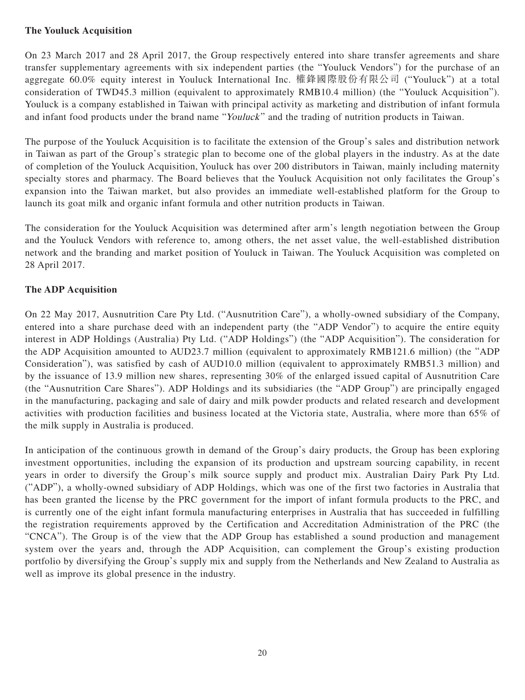## **The Youluck Acquisition**

On 23 March 2017 and 28 April 2017, the Group respectively entered into share transfer agreements and share transfer supplementary agreements with six independent parties (the "Youluck Vendors") for the purchase of an aggregate 60.0% equity interest in Youluck International Inc. 權鋒國際股份有限公司 ("Youluck") at a total consideration of TWD45.3 million (equivalent to approximately RMB10.4 million) (the "Youluck Acquisition"). Youluck is a company established in Taiwan with principal activity as marketing and distribution of infant formula and infant food products under the brand name "Youluck" and the trading of nutrition products in Taiwan.

The purpose of the Youluck Acquisition is to facilitate the extension of the Group's sales and distribution network in Taiwan as part of the Group's strategic plan to become one of the global players in the industry. As at the date of completion of the Youluck Acquisition, Youluck has over 200 distributors in Taiwan, mainly including maternity specialty stores and pharmacy. The Board believes that the Youluck Acquisition not only facilitates the Group's expansion into the Taiwan market, but also provides an immediate well-established platform for the Group to launch its goat milk and organic infant formula and other nutrition products in Taiwan.

The consideration for the Youluck Acquisition was determined after arm's length negotiation between the Group and the Youluck Vendors with reference to, among others, the net asset value, the well-established distribution network and the branding and market position of Youluck in Taiwan. The Youluck Acquisition was completed on 28 April 2017.

## **The ADP Acquisition**

On 22 May 2017, Ausnutrition Care Pty Ltd. ("Ausnutrition Care"), a wholly-owned subsidiary of the Company, entered into a share purchase deed with an independent party (the "ADP Vendor") to acquire the entire equity interest in ADP Holdings (Australia) Pty Ltd. ("ADP Holdings") (the "ADP Acquisition"). The consideration for the ADP Acquisition amounted to AUD23.7 million (equivalent to approximately RMB121.6 million) (the "ADP Consideration"), was satisfied by cash of AUD10.0 million (equivalent to approximately RMB51.3 million) and by the issuance of 13.9 million new shares, representing 30% of the enlarged issued capital of Ausnutrition Care (the "Ausnutrition Care Shares"). ADP Holdings and its subsidiaries (the "ADP Group") are principally engaged in the manufacturing, packaging and sale of dairy and milk powder products and related research and development activities with production facilities and business located at the Victoria state, Australia, where more than 65% of the milk supply in Australia is produced.

In anticipation of the continuous growth in demand of the Group's dairy products, the Group has been exploring investment opportunities, including the expansion of its production and upstream sourcing capability, in recent years in order to diversify the Group's milk source supply and product mix. Australian Dairy Park Pty Ltd. ("ADP"), a wholly-owned subsidiary of ADP Holdings, which was one of the first two factories in Australia that has been granted the license by the PRC government for the import of infant formula products to the PRC, and is currently one of the eight infant formula manufacturing enterprises in Australia that has succeeded in fulfilling the registration requirements approved by the Certification and Accreditation Administration of the PRC (the "CNCA"). The Group is of the view that the ADP Group has established a sound production and management system over the years and, through the ADP Acquisition, can complement the Group's existing production portfolio by diversifying the Group's supply mix and supply from the Netherlands and New Zealand to Australia as well as improve its global presence in the industry.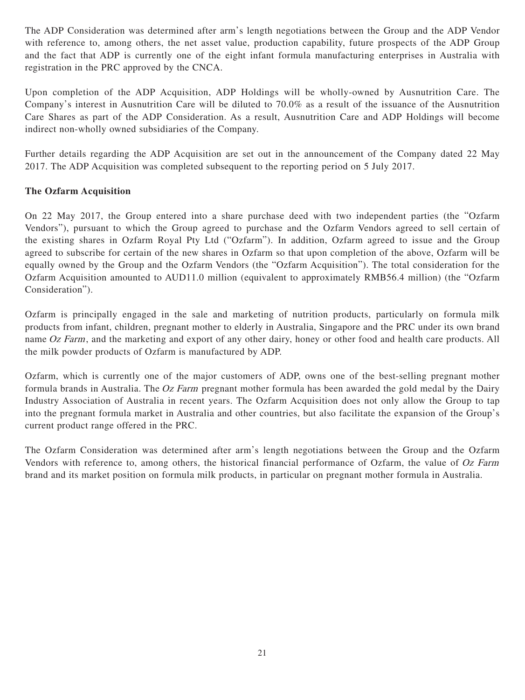The ADP Consideration was determined after arm's length negotiations between the Group and the ADP Vendor with reference to, among others, the net asset value, production capability, future prospects of the ADP Group and the fact that ADP is currently one of the eight infant formula manufacturing enterprises in Australia with registration in the PRC approved by the CNCA.

Upon completion of the ADP Acquisition, ADP Holdings will be wholly-owned by Ausnutrition Care. The Company's interest in Ausnutrition Care will be diluted to 70.0% as a result of the issuance of the Ausnutrition Care Shares as part of the ADP Consideration. As a result, Ausnutrition Care and ADP Holdings will become indirect non-wholly owned subsidiaries of the Company.

Further details regarding the ADP Acquisition are set out in the announcement of the Company dated 22 May 2017. The ADP Acquisition was completed subsequent to the reporting period on 5 July 2017.

## **The Ozfarm Acquisition**

On 22 May 2017, the Group entered into a share purchase deed with two independent parties (the "Ozfarm Vendors"), pursuant to which the Group agreed to purchase and the Ozfarm Vendors agreed to sell certain of the existing shares in Ozfarm Royal Pty Ltd ("Ozfarm"). In addition, Ozfarm agreed to issue and the Group agreed to subscribe for certain of the new shares in Ozfarm so that upon completion of the above, Ozfarm will be equally owned by the Group and the Ozfarm Vendors (the "Ozfarm Acquisition"). The total consideration for the Ozfarm Acquisition amounted to AUD11.0 million (equivalent to approximately RMB56.4 million) (the "Ozfarm Consideration").

Ozfarm is principally engaged in the sale and marketing of nutrition products, particularly on formula milk products from infant, children, pregnant mother to elderly in Australia, Singapore and the PRC under its own brand name Oz Farm, and the marketing and export of any other dairy, honey or other food and health care products. All the milk powder products of Ozfarm is manufactured by ADP.

Ozfarm, which is currently one of the major customers of ADP, owns one of the best-selling pregnant mother formula brands in Australia. The Oz Farm pregnant mother formula has been awarded the gold medal by the Dairy Industry Association of Australia in recent years. The Ozfarm Acquisition does not only allow the Group to tap into the pregnant formula market in Australia and other countries, but also facilitate the expansion of the Group's current product range offered in the PRC.

The Ozfarm Consideration was determined after arm's length negotiations between the Group and the Ozfarm Vendors with reference to, among others, the historical financial performance of Ozfarm, the value of Oz Farm brand and its market position on formula milk products, in particular on pregnant mother formula in Australia.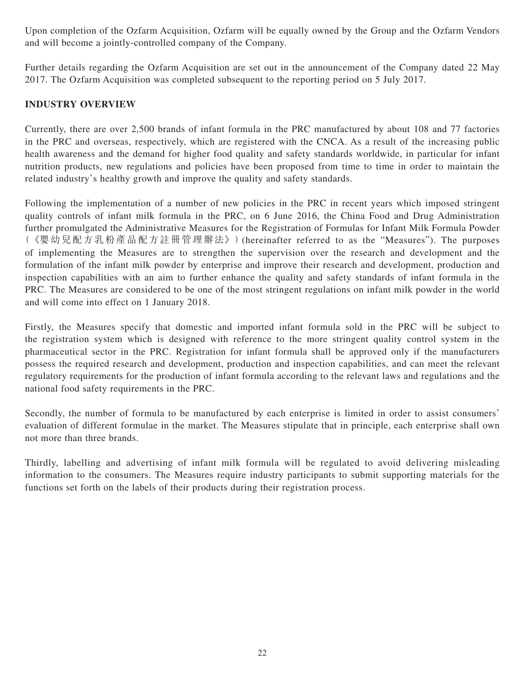Upon completion of the Ozfarm Acquisition, Ozfarm will be equally owned by the Group and the Ozfarm Vendors and will become a jointly-controlled company of the Company.

Further details regarding the Ozfarm Acquisition are set out in the announcement of the Company dated 22 May 2017. The Ozfarm Acquisition was completed subsequent to the reporting period on 5 July 2017.

## **INDUSTRY OVERVIEW**

Currently, there are over 2,500 brands of infant formula in the PRC manufactured by about 108 and 77 factories in the PRC and overseas, respectively, which are registered with the CNCA. As a result of the increasing public health awareness and the demand for higher food quality and safety standards worldwide, in particular for infant nutrition products, new regulations and policies have been proposed from time to time in order to maintain the related industry's healthy growth and improve the quality and safety standards.

Following the implementation of a number of new policies in the PRC in recent years which imposed stringent quality controls of infant milk formula in the PRC, on 6 June 2016, the China Food and Drug Administration further promulgated the Administrative Measures for the Registration of Formulas for Infant Milk Formula Powder (《嬰幼兒配方乳粉產品配方註冊管理辦法》)(hereinafter referred to as the "Measures"). The purposes of implementing the Measures are to strengthen the supervision over the research and development and the formulation of the infant milk powder by enterprise and improve their research and development, production and inspection capabilities with an aim to further enhance the quality and safety standards of infant formula in the PRC. The Measures are considered to be one of the most stringent regulations on infant milk powder in the world and will come into effect on 1 January 2018.

Firstly, the Measures specify that domestic and imported infant formula sold in the PRC will be subject to the registration system which is designed with reference to the more stringent quality control system in the pharmaceutical sector in the PRC. Registration for infant formula shall be approved only if the manufacturers possess the required research and development, production and inspection capabilities, and can meet the relevant regulatory requirements for the production of infant formula according to the relevant laws and regulations and the national food safety requirements in the PRC.

Secondly, the number of formula to be manufactured by each enterprise is limited in order to assist consumers' evaluation of different formulae in the market. The Measures stipulate that in principle, each enterprise shall own not more than three brands.

Thirdly, labelling and advertising of infant milk formula will be regulated to avoid delivering misleading information to the consumers. The Measures require industry participants to submit supporting materials for the functions set forth on the labels of their products during their registration process.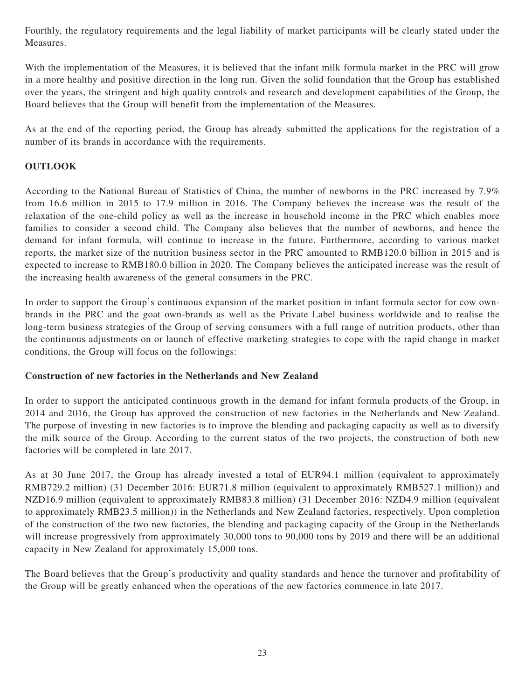Fourthly, the regulatory requirements and the legal liability of market participants will be clearly stated under the Measures.

With the implementation of the Measures, it is believed that the infant milk formula market in the PRC will grow in a more healthy and positive direction in the long run. Given the solid foundation that the Group has established over the years, the stringent and high quality controls and research and development capabilities of the Group, the Board believes that the Group will benefit from the implementation of the Measures.

As at the end of the reporting period, the Group has already submitted the applications for the registration of a number of its brands in accordance with the requirements.

## **OUTLOOK**

According to the National Bureau of Statistics of China, the number of newborns in the PRC increased by 7.9% from 16.6 million in 2015 to 17.9 million in 2016. The Company believes the increase was the result of the relaxation of the one-child policy as well as the increase in household income in the PRC which enables more families to consider a second child. The Company also believes that the number of newborns, and hence the demand for infant formula, will continue to increase in the future. Furthermore, according to various market reports, the market size of the nutrition business sector in the PRC amounted to RMB120.0 billion in 2015 and is expected to increase to RMB180.0 billion in 2020. The Company believes the anticipated increase was the result of the increasing health awareness of the general consumers in the PRC.

In order to support the Group's continuous expansion of the market position in infant formula sector for cow ownbrands in the PRC and the goat own-brands as well as the Private Label business worldwide and to realise the long-term business strategies of the Group of serving consumers with a full range of nutrition products, other than the continuous adjustments on or launch of effective marketing strategies to cope with the rapid change in market conditions, the Group will focus on the followings:

## **Construction of new factories in the Netherlands and New Zealand**

In order to support the anticipated continuous growth in the demand for infant formula products of the Group, in 2014 and 2016, the Group has approved the construction of new factories in the Netherlands and New Zealand. The purpose of investing in new factories is to improve the blending and packaging capacity as well as to diversify the milk source of the Group. According to the current status of the two projects, the construction of both new factories will be completed in late 2017.

As at 30 June 2017, the Group has already invested a total of EUR94.1 million (equivalent to approximately RMB729.2 million) (31 December 2016: EUR71.8 million (equivalent to approximately RMB527.1 million)) and NZD16.9 million (equivalent to approximately RMB83.8 million) (31 December 2016: NZD4.9 million (equivalent to approximately RMB23.5 million)) in the Netherlands and New Zealand factories, respectively. Upon completion of the construction of the two new factories, the blending and packaging capacity of the Group in the Netherlands will increase progressively from approximately 30,000 tons to 90,000 tons by 2019 and there will be an additional capacity in New Zealand for approximately 15,000 tons.

The Board believes that the Group's productivity and quality standards and hence the turnover and profitability of the Group will be greatly enhanced when the operations of the new factories commence in late 2017.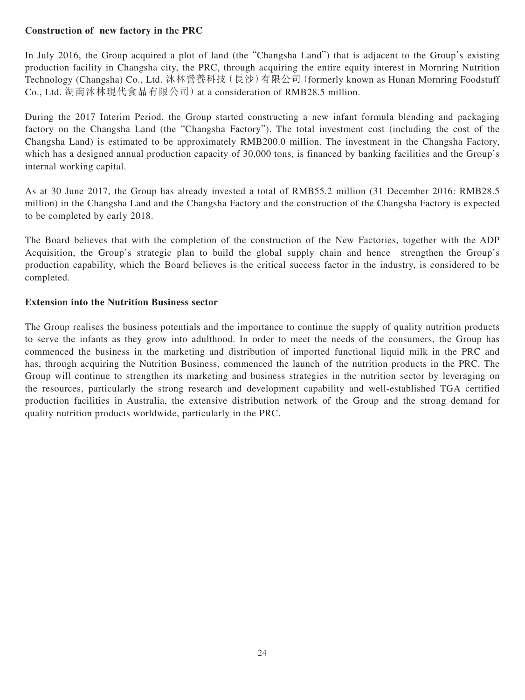## **Construction of new factory in the PRC**

In July 2016, the Group acquired a plot of land (the "Changsha Land") that is adjacent to the Group's existing production facility in Changsha city, the PRC, through acquiring the entire equity interest in Mornring Nutrition Technology (Changsha) Co., Ltd. 沐林營養科技(長沙)有限公司(formerly known as Hunan Mornring Foodstuff Co., Ltd. 湖南沐林現代食品有限公司)at a consideration of RMB28.5 million.

During the 2017 Interim Period, the Group started constructing a new infant formula blending and packaging factory on the Changsha Land (the "Changsha Factory"). The total investment cost (including the cost of the Changsha Land) is estimated to be approximately RMB200.0 million. The investment in the Changsha Factory, which has a designed annual production capacity of 30,000 tons, is financed by banking facilities and the Group's internal working capital.

As at 30 June 2017, the Group has already invested a total of RMB55.2 million (31 December 2016: RMB28.5 million) in the Changsha Land and the Changsha Factory and the construction of the Changsha Factory is expected to be completed by early 2018.

The Board believes that with the completion of the construction of the New Factories, together with the ADP Acquisition, the Group's strategic plan to build the global supply chain and hence strengthen the Group's production capability, which the Board believes is the critical success factor in the industry, is considered to be completed.

## **Extension into the Nutrition Business sector**

The Group realises the business potentials and the importance to continue the supply of quality nutrition products to serve the infants as they grow into adulthood. In order to meet the needs of the consumers, the Group has commenced the business in the marketing and distribution of imported functional liquid milk in the PRC and has, through acquiring the Nutrition Business, commenced the launch of the nutrition products in the PRC. The Group will continue to strengthen its marketing and business strategies in the nutrition sector by leveraging on the resources, particularly the strong research and development capability and well-established TGA certified production facilities in Australia, the extensive distribution network of the Group and the strong demand for quality nutrition products worldwide, particularly in the PRC.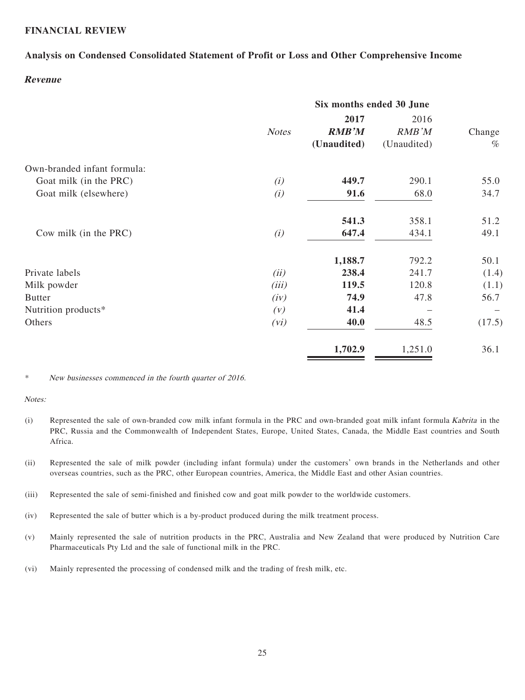## **FINANCIAL REVIEW**

## **Analysis on Condensed Consolidated Statement of Profit or Loss and Other Comprehensive Income**

### **Revenue**

| Six months ended 30 June |                      |               |             |
|--------------------------|----------------------|---------------|-------------|
| <b>Notes</b>             | 2017<br><b>RMB'M</b> | 2016<br>RMB'M | Change      |
|                          |                      |               | $\%$        |
|                          |                      |               |             |
| (i)                      | 449.7                | 290.1         | 55.0        |
| (i)                      | 91.6                 | 68.0          | 34.7        |
|                          | 541.3                | 358.1         | 51.2        |
| (i)                      | 647.4                | 434.1         | 49.1        |
|                          | 1,188.7              | 792.2         | 50.1        |
| (ii)                     | 238.4                | 241.7         | (1.4)       |
| (iii)                    | 119.5                | 120.8         | (1.1)       |
| (iv)                     | 74.9                 | 47.8          | 56.7        |
| (V)                      | 41.4                 |               |             |
| (vi)                     | 40.0                 | 48.5          | (17.5)      |
|                          | 1,702.9              | 1,251.0       | 36.1        |
|                          |                      | (Unaudited)   | (Unaudited) |

#### \* New businesses commenced in the fourth quarter of 2016.

#### Notes:

- (i) Represented the sale of own-branded cow milk infant formula in the PRC and own-branded goat milk infant formula Kabrita in the PRC, Russia and the Commonwealth of Independent States, Europe, United States, Canada, the Middle East countries and South Africa.
- (ii) Represented the sale of milk powder (including infant formula) under the customers' own brands in the Netherlands and other overseas countries, such as the PRC, other European countries, America, the Middle East and other Asian countries.
- (iii) Represented the sale of semi-finished and finished cow and goat milk powder to the worldwide customers.
- (iv) Represented the sale of butter which is a by-product produced during the milk treatment process.
- (v) Mainly represented the sale of nutrition products in the PRC, Australia and New Zealand that were produced by Nutrition Care Pharmaceuticals Pty Ltd and the sale of functional milk in the PRC.
- (vi) Mainly represented the processing of condensed milk and the trading of fresh milk, etc.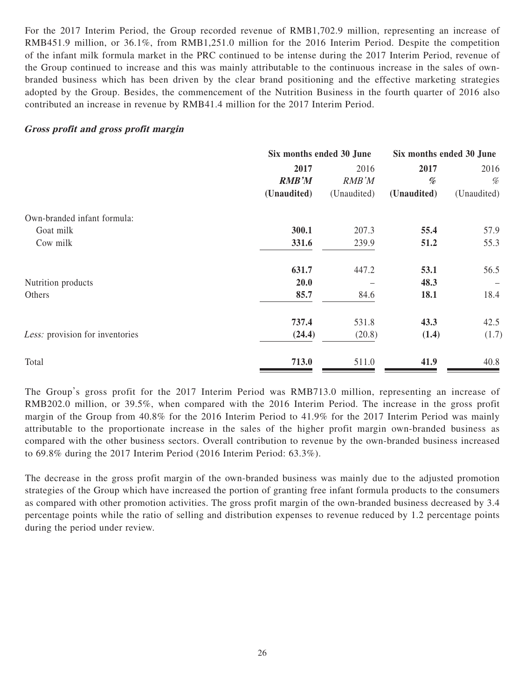For the 2017 Interim Period, the Group recorded revenue of RMB1,702.9 million, representing an increase of RMB451.9 million, or 36.1%, from RMB1,251.0 million for the 2016 Interim Period. Despite the competition of the infant milk formula market in the PRC continued to be intense during the 2017 Interim Period, revenue of the Group continued to increase and this was mainly attributable to the continuous increase in the sales of ownbranded business which has been driven by the clear brand positioning and the effective marketing strategies adopted by the Group. Besides, the commencement of the Nutrition Business in the fourth quarter of 2016 also contributed an increase in revenue by RMB41.4 million for the 2017 Interim Period.

### **Gross profit and gross profit margin**

|                                 | Six months ended 30 June | Six months ended 30 June |                                                                                                                                 |             |
|---------------------------------|--------------------------|--------------------------|---------------------------------------------------------------------------------------------------------------------------------|-------------|
|                                 | 2017                     | 2016                     | 2017                                                                                                                            | 2016        |
|                                 | <b>RMB'M</b>             | <b>RMB</b> 'M            | $% \mathcal{P}_{\mathcal{A}}^{\mathcal{A}}\!\left( \mathcal{A} \right) = \mathcal{A}^{\mathcal{A}}\!\left( \mathcal{A} \right)$ | %           |
|                                 | (Unaudited)              | (Unaudited)              | (Unaudited)                                                                                                                     | (Unaudited) |
| Own-branded infant formula:     |                          |                          |                                                                                                                                 |             |
| Goat milk                       | 300.1                    | 207.3                    | 55.4                                                                                                                            | 57.9        |
| Cow milk                        | 331.6                    | 239.9                    | 51.2                                                                                                                            | 55.3        |
|                                 | 631.7                    | 447.2                    | 53.1                                                                                                                            | 56.5        |
| Nutrition products              | 20.0                     |                          | 48.3                                                                                                                            |             |
| Others                          | 85.7                     | 84.6                     | 18.1                                                                                                                            | 18.4        |
|                                 | 737.4                    | 531.8                    | 43.3                                                                                                                            | 42.5        |
| Less: provision for inventories | (24.4)                   | (20.8)                   | (1.4)                                                                                                                           | (1.7)       |
| Total                           | 713.0                    | 511.0                    | 41.9                                                                                                                            | 40.8        |

The Group's gross profit for the 2017 Interim Period was RMB713.0 million, representing an increase of RMB202.0 million, or 39.5%, when compared with the 2016 Interim Period. The increase in the gross profit margin of the Group from 40.8% for the 2016 Interim Period to 41.9% for the 2017 Interim Period was mainly attributable to the proportionate increase in the sales of the higher profit margin own-branded business as compared with the other business sectors. Overall contribution to revenue by the own-branded business increased to 69.8% during the 2017 Interim Period (2016 Interim Period: 63.3%).

The decrease in the gross profit margin of the own-branded business was mainly due to the adjusted promotion strategies of the Group which have increased the portion of granting free infant formula products to the consumers as compared with other promotion activities. The gross profit margin of the own-branded business decreased by 3.4 percentage points while the ratio of selling and distribution expenses to revenue reduced by 1.2 percentage points during the period under review.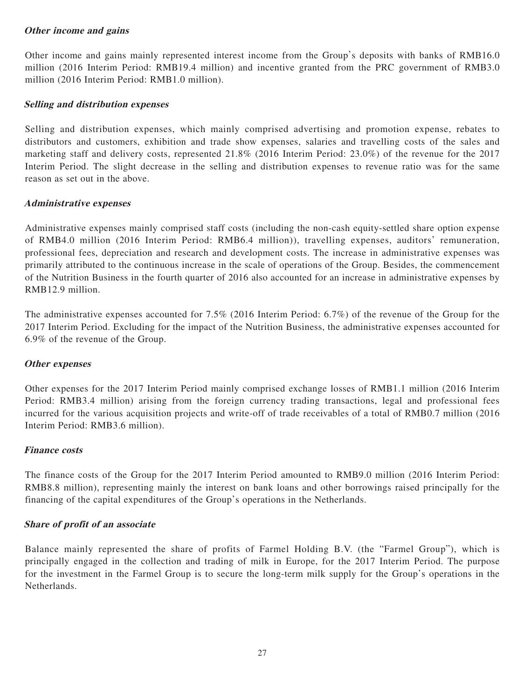## **Other income and gains**

Other income and gains mainly represented interest income from the Group's deposits with banks of RMB16.0 million (2016 Interim Period: RMB19.4 million) and incentive granted from the PRC government of RMB3.0 million (2016 Interim Period: RMB1.0 million).

## **Selling and distribution expenses**

Selling and distribution expenses, which mainly comprised advertising and promotion expense, rebates to distributors and customers, exhibition and trade show expenses, salaries and travelling costs of the sales and marketing staff and delivery costs, represented 21.8% (2016 Interim Period: 23.0%) of the revenue for the 2017 Interim Period. The slight decrease in the selling and distribution expenses to revenue ratio was for the same reason as set out in the above.

## **Administrative expenses**

Administrative expenses mainly comprised staff costs (including the non-cash equity-settled share option expense of RMB4.0 million (2016 Interim Period: RMB6.4 million)), travelling expenses, auditors' remuneration, professional fees, depreciation and research and development costs. The increase in administrative expenses was primarily attributed to the continuous increase in the scale of operations of the Group. Besides, the commencement of the Nutrition Business in the fourth quarter of 2016 also accounted for an increase in administrative expenses by RMB12.9 million.

The administrative expenses accounted for 7.5% (2016 Interim Period: 6.7%) of the revenue of the Group for the 2017 Interim Period. Excluding for the impact of the Nutrition Business, the administrative expenses accounted for 6.9% of the revenue of the Group.

## **Other expenses**

Other expenses for the 2017 Interim Period mainly comprised exchange losses of RMB1.1 million (2016 Interim Period: RMB3.4 million) arising from the foreign currency trading transactions, legal and professional fees incurred for the various acquisition projects and write-off of trade receivables of a total of RMB0.7 million (2016 Interim Period: RMB3.6 million).

## **Finance costs**

The finance costs of the Group for the 2017 Interim Period amounted to RMB9.0 million (2016 Interim Period: RMB8.8 million), representing mainly the interest on bank loans and other borrowings raised principally for the financing of the capital expenditures of the Group's operations in the Netherlands.

## **Share of profit of an associate**

Balance mainly represented the share of profits of Farmel Holding B.V. (the "Farmel Group"), which is principally engaged in the collection and trading of milk in Europe, for the 2017 Interim Period. The purpose for the investment in the Farmel Group is to secure the long-term milk supply for the Group's operations in the Netherlands.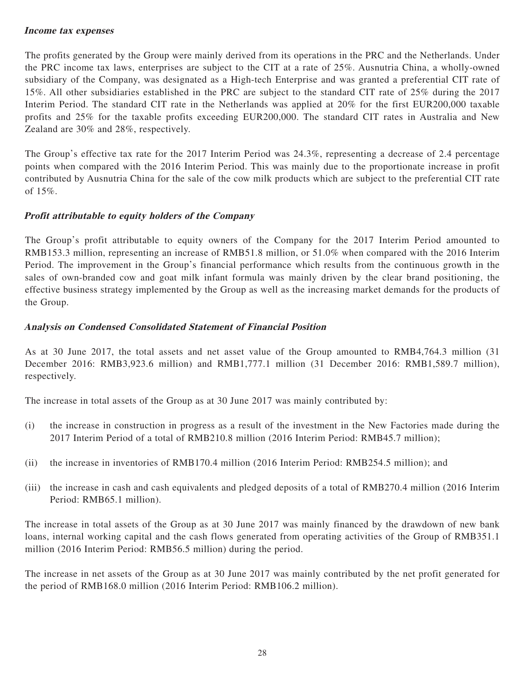## **Income tax expenses**

The profits generated by the Group were mainly derived from its operations in the PRC and the Netherlands. Under the PRC income tax laws, enterprises are subject to the CIT at a rate of 25%. Ausnutria China, a wholly-owned subsidiary of the Company, was designated as a High-tech Enterprise and was granted a preferential CIT rate of 15%. All other subsidiaries established in the PRC are subject to the standard CIT rate of 25% during the 2017 Interim Period. The standard CIT rate in the Netherlands was applied at 20% for the first EUR200,000 taxable profits and 25% for the taxable profits exceeding EUR200,000. The standard CIT rates in Australia and New Zealand are 30% and 28%, respectively.

The Group's effective tax rate for the 2017 Interim Period was 24.3%, representing a decrease of 2.4 percentage points when compared with the 2016 Interim Period. This was mainly due to the proportionate increase in profit contributed by Ausnutria China for the sale of the cow milk products which are subject to the preferential CIT rate of 15%.

## **Profit attributable to equity holders of the Company**

The Group's profit attributable to equity owners of the Company for the 2017 Interim Period amounted to RMB153.3 million, representing an increase of RMB51.8 million, or 51.0% when compared with the 2016 Interim Period. The improvement in the Group's financial performance which results from the continuous growth in the sales of own-branded cow and goat milk infant formula was mainly driven by the clear brand positioning, the effective business strategy implemented by the Group as well as the increasing market demands for the products of the Group.

## **Analysis on Condensed Consolidated Statement of Financial Position**

As at 30 June 2017, the total assets and net asset value of the Group amounted to RMB4,764.3 million (31 December 2016: RMB3,923.6 million) and RMB1,777.1 million (31 December 2016: RMB1,589.7 million), respectively.

The increase in total assets of the Group as at 30 June 2017 was mainly contributed by:

- (i) the increase in construction in progress as a result of the investment in the New Factories made during the 2017 Interim Period of a total of RMB210.8 million (2016 Interim Period: RMB45.7 million);
- (ii) the increase in inventories of RMB170.4 million (2016 Interim Period: RMB254.5 million); and
- (iii) the increase in cash and cash equivalents and pledged deposits of a total of RMB270.4 million (2016 Interim Period: RMB65.1 million).

The increase in total assets of the Group as at 30 June 2017 was mainly financed by the drawdown of new bank loans, internal working capital and the cash flows generated from operating activities of the Group of RMB351.1 million (2016 Interim Period: RMB56.5 million) during the period.

The increase in net assets of the Group as at 30 June 2017 was mainly contributed by the net profit generated for the period of RMB168.0 million (2016 Interim Period: RMB106.2 million).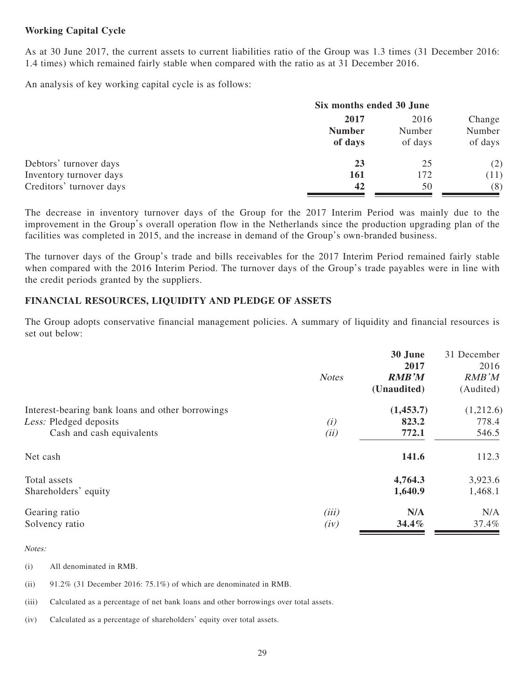## **Working Capital Cycle**

As at 30 June 2017, the current assets to current liabilities ratio of the Group was 1.3 times (31 December 2016: 1.4 times) which remained fairly stable when compared with the ratio as at 31 December 2016.

An analysis of key working capital cycle is as follows:

|                          | Six months ended 30 June         |                           |                             |  |
|--------------------------|----------------------------------|---------------------------|-----------------------------|--|
|                          | 2017<br><b>Number</b><br>of days | 2016<br>Number<br>of days | Change<br>Number<br>of days |  |
| Debtors' turnover days   | 23                               | 25                        | (2)                         |  |
| Inventory turnover days  | <b>161</b>                       | 172                       | (11)                        |  |
| Creditors' turnover days | 42                               | 50                        | (8)                         |  |

The decrease in inventory turnover days of the Group for the 2017 Interim Period was mainly due to the improvement in the Group's overall operation flow in the Netherlands since the production upgrading plan of the facilities was completed in 2015, and the increase in demand of the Group's own-branded business.

The turnover days of the Group's trade and bills receivables for the 2017 Interim Period remained fairly stable when compared with the 2016 Interim Period. The turnover days of the Group's trade payables were in line with the credit periods granted by the suppliers.

## **FINANCIAL RESOURCES, LIQUIDITY AND PLEDGE OF ASSETS**

The Group adopts conservative financial management policies. A summary of liquidity and financial resources is set out below:

|                                                  |              | 30 June      | 31 December |
|--------------------------------------------------|--------------|--------------|-------------|
|                                                  |              | 2017         | 2016        |
|                                                  | <b>Notes</b> | <b>RMB'M</b> | RMB'M       |
|                                                  |              | (Unaudited)  | (Audited)   |
| Interest-bearing bank loans and other borrowings |              | (1,453.7)    | (1,212.6)   |
| Less: Pledged deposits                           | (i)          | 823.2        | 778.4       |
| Cash and cash equivalents                        | (ii)         | 772.1        | 546.5       |
| Net cash                                         |              | 141.6        | 112.3       |
| Total assets                                     |              | 4,764.3      | 3,923.6     |
| Shareholders' equity                             |              | 1,640.9      | 1,468.1     |
| Gearing ratio                                    | (iii)        | N/A          | N/A         |
| Solvency ratio                                   | (iv)         | 34.4%        | 37.4%       |

#### Notes:

- (i) All denominated in RMB.
- (ii) 91.2% (31 December 2016: 75.1%) of which are denominated in RMB.
- (iii) Calculated as a percentage of net bank loans and other borrowings over total assets.
- (iv) Calculated as a percentage of shareholders' equity over total assets.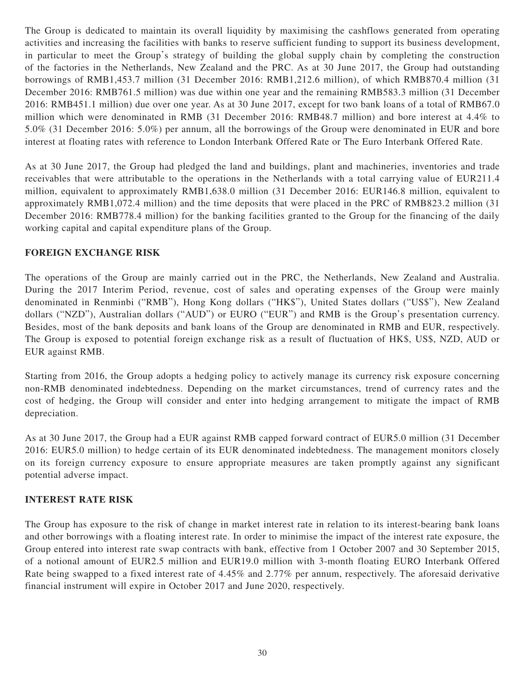The Group is dedicated to maintain its overall liquidity by maximising the cashflows generated from operating activities and increasing the facilities with banks to reserve sufficient funding to support its business development, in particular to meet the Group's strategy of building the global supply chain by completing the construction of the factories in the Netherlands, New Zealand and the PRC. As at 30 June 2017, the Group had outstanding borrowings of RMB1,453.7 million (31 December 2016: RMB1,212.6 million), of which RMB870.4 million (31 December 2016: RMB761.5 million) was due within one year and the remaining RMB583.3 million (31 December 2016: RMB451.1 million) due over one year. As at 30 June 2017, except for two bank loans of a total of RMB67.0 million which were denominated in RMB (31 December 2016: RMB48.7 million) and bore interest at 4.4% to 5.0% (31 December 2016: 5.0%) per annum, all the borrowings of the Group were denominated in EUR and bore interest at floating rates with reference to London Interbank Offered Rate or The Euro Interbank Offered Rate.

As at 30 June 2017, the Group had pledged the land and buildings, plant and machineries, inventories and trade receivables that were attributable to the operations in the Netherlands with a total carrying value of EUR211.4 million, equivalent to approximately RMB1,638.0 million (31 December 2016: EUR146.8 million, equivalent to approximately RMB1,072.4 million) and the time deposits that were placed in the PRC of RMB823.2 million (31 December 2016: RMB778.4 million) for the banking facilities granted to the Group for the financing of the daily working capital and capital expenditure plans of the Group.

## **FOREIGN EXCHANGE RISK**

The operations of the Group are mainly carried out in the PRC, the Netherlands, New Zealand and Australia. During the 2017 Interim Period, revenue, cost of sales and operating expenses of the Group were mainly denominated in Renminbi ("RMB"), Hong Kong dollars ("HK\$"), United States dollars ("US\$"), New Zealand dollars ("NZD"), Australian dollars ("AUD") or EURO ("EUR") and RMB is the Group's presentation currency. Besides, most of the bank deposits and bank loans of the Group are denominated in RMB and EUR, respectively. The Group is exposed to potential foreign exchange risk as a result of fluctuation of HK\$, US\$, NZD, AUD or EUR against RMB.

Starting from 2016, the Group adopts a hedging policy to actively manage its currency risk exposure concerning non-RMB denominated indebtedness. Depending on the market circumstances, trend of currency rates and the cost of hedging, the Group will consider and enter into hedging arrangement to mitigate the impact of RMB depreciation.

As at 30 June 2017, the Group had a EUR against RMB capped forward contract of EUR5.0 million (31 December 2016: EUR5.0 million) to hedge certain of its EUR denominated indebtedness. The management monitors closely on its foreign currency exposure to ensure appropriate measures are taken promptly against any significant potential adverse impact.

## **INTEREST RATE RISK**

The Group has exposure to the risk of change in market interest rate in relation to its interest-bearing bank loans and other borrowings with a floating interest rate. In order to minimise the impact of the interest rate exposure, the Group entered into interest rate swap contracts with bank, effective from 1 October 2007 and 30 September 2015, of a notional amount of EUR2.5 million and EUR19.0 million with 3-month floating EURO Interbank Offered Rate being swapped to a fixed interest rate of 4.45% and 2.77% per annum, respectively. The aforesaid derivative financial instrument will expire in October 2017 and June 2020, respectively.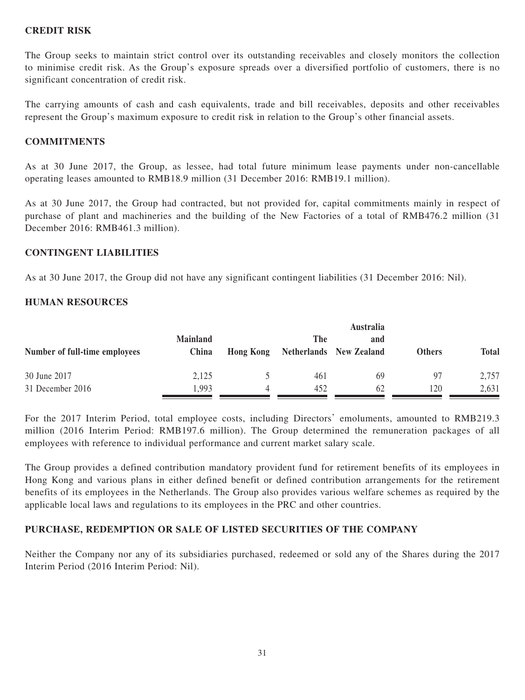## **CREDIT RISK**

The Group seeks to maintain strict control over its outstanding receivables and closely monitors the collection to minimise credit risk. As the Group's exposure spreads over a diversified portfolio of customers, there is no significant concentration of credit risk.

The carrying amounts of cash and cash equivalents, trade and bill receivables, deposits and other receivables represent the Group's maximum exposure to credit risk in relation to the Group's other financial assets.

## **COMMITMENTS**

As at 30 June 2017, the Group, as lessee, had total future minimum lease payments under non-cancellable operating leases amounted to RMB18.9 million (31 December 2016: RMB19.1 million).

As at 30 June 2017, the Group had contracted, but not provided for, capital commitments mainly in respect of purchase of plant and machineries and the building of the New Factories of a total of RMB476.2 million (31 December 2016: RMB461.3 million).

## **CONTINGENT LIABILITIES**

As at 30 June 2017, the Group did not have any significant contingent liabilities (31 December 2016: Nil).

## **HUMAN RESOURCES**

|                               |                 |                  |     | <b>Australia</b>        |               |              |
|-------------------------------|-----------------|------------------|-----|-------------------------|---------------|--------------|
|                               | <b>Mainland</b> |                  | The | and                     |               |              |
| Number of full-time employees | China           | <b>Hong Kong</b> |     | Netherlands New Zealand | <b>Others</b> | <b>Total</b> |
| 30 June 2017                  | 2,125           |                  | 461 | 69                      | 97            | 2,757        |
| 31 December 2016              | .993            |                  | 452 | 62                      | 120           | 2,631        |

For the 2017 Interim Period, total employee costs, including Directors' emoluments, amounted to RMB219.3 million (2016 Interim Period: RMB197.6 million). The Group determined the remuneration packages of all employees with reference to individual performance and current market salary scale.

The Group provides a defined contribution mandatory provident fund for retirement benefits of its employees in Hong Kong and various plans in either defined benefit or defined contribution arrangements for the retirement benefits of its employees in the Netherlands. The Group also provides various welfare schemes as required by the applicable local laws and regulations to its employees in the PRC and other countries.

## **PURCHASE, REDEMPTION OR SALE OF LISTED SECURITIES OF THE COMPANY**

Neither the Company nor any of its subsidiaries purchased, redeemed or sold any of the Shares during the 2017 Interim Period (2016 Interim Period: Nil).